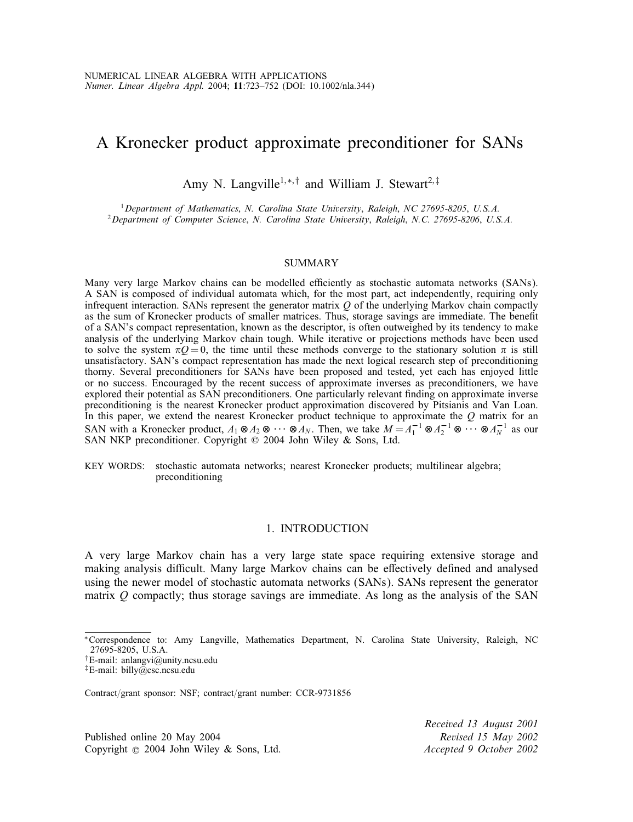# A Kronecker product approximate preconditioner for SANs

Amy N. Langville<sup>1,∗,†</sup> and William J. Stewart<sup>2,‡</sup>

<sup>1</sup>*Department of Mathematics*; *N. Carolina State University*; *Raleigh*; *NC 27695-8205*; *U.S.A.* <sup>2</sup>*Department of Computer Science*; *N. Carolina State University*; *Raleigh*; *N.C. 27695-8206*; *U.S.A.*

#### SUMMARY

Many very large Markov chains can be modelled efficiently as stochastic automata networks (SANs). A SAN is composed of individual automata which, for the most part, act independently, requiring only infrequent interaction. SANs represent the generator matrix  $Q$  of the underlying Markov chain compactly as the sum of Kronecker products of smaller matrices. Thus, storage savings are immediate. The benefit of a SAN's compact representation, known as the descriptor, is often outweighed by its tendency to make analysis of the underlying Markov chain tough. While iterative or projections methods have been used to solve the system  $\pi Q = 0$ , the time until these methods converge to the stationary solution  $\pi$  is still unsatisfactory. SAN's compact representation has made the next logical research step of preconditioning thorny. Several preconditioners for SANs have been proposed and tested, yet each has enjoyed little or no success. Encouraged by the recent success of approximate inverses as preconditioners, we have explored their potential as SAN preconditioners. One particularly relevant finding on approximate inverse preconditioning is the nearest Kronecker product approximation discovered by Pitsianis and Van Loan. In this paper, we extend the nearest Kronecker product technique to approximate the  $Q$  matrix for an SAN with a Kronecker product,  $A_1 \quad A_2 \quad \cdots \quad A_N$ . Then, we take  $M = A_1^{-1} \quad A_2^{-1} \quad \cdots \quad A_N^{-1}$  as our SAN NKP preconditioner. Copyright © 2004 John Wiley & Sons, Ltd.

KEY WORDS: stochastic automata networks; nearest Kronecker products; multilinear algebra; preconditioning

# 1. INTRODUCTION

A very large Markov chain has a very large state space requiring extensive storage and making analysis difficult. Many large Markov chains can be effectively defined and analysed using the newer model of stochastic automata networks (SANs). SANs represent the generator matrix  $Q$  compactly; thus storage savings are immediate. As long as the analysis of the SAN

Contract/grant sponsor: NSF; contract/grant number: CCR-9731856

Published online 20 May 2004 *Revised 15 May 2002* Copyright ? 2004 John Wiley & Sons, Ltd. *Accepted 9 October 2002*

*Received 13 August 2001*

<sup>∗</sup>Correspondence to: Amy Langville, Mathematics Department, N. Carolina State University, Raleigh, NC 27695-8205, U.S.A.

<sup>†</sup>E-mail: anlangvi@unity.ncsu.edu

<sup>‡</sup>E-mail: billy@csc.ncsu.edu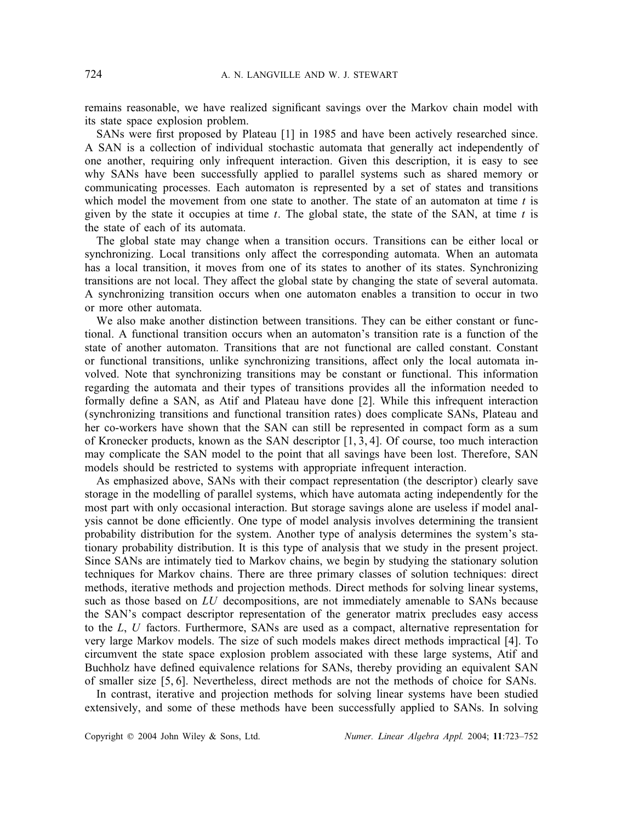remains reasonable, we have realized significant savings over the Markov chain model with its state space explosion problem.

SANs were first proposed by Plateau [1] in 1985 and have been actively researched since. A SAN is a collection of individual stochastic automata that generally act independently of one another, requiring only infrequent interaction. Given this description, it is easy to see why SANs have been successfully applied to parallel systems such as shared memory or communicating processes. Each automaton is represented by a set of states and transitions which model the movement from one state to another. The state of an automaton at time  $t$  is given by the state it occupies at time  $t$ . The global state, the state of the SAN, at time  $t$  is the state of each of its automata.

The global state may change when a transition occurs. Transitions can be either local or synchronizing. Local transitions only affect the corresponding automata. When an automata has a local transition, it moves from one of its states to another of its states. Synchronizing transitions are not local. They affect the global state by changing the state of several automata. A synchronizing transition occurs when one automaton enables a transition to occur in two or more other automata.

We also make another distinction between transitions. They can be either constant or functional. A functional transition occurs when an automaton's transition rate is a function of the state of another automaton. Transitions that are not functional are called constant. Constant or functional transitions, unlike synchronizing transitions, affect only the local automata involved. Note that synchronizing transitions may be constant or functional. This information regarding the automata and their types of transitions provides all the information needed to formally define a SAN, as Atif and Plateau have done [2]. While this infrequent interaction (synchronizing transitions and functional transition rates) does complicate SANs, Plateau and her co-workers have shown that the SAN can still be represented in compact form as a sum of Kronecker products, known as the SAN descriptor [1, 3, 4]. Of course, too much interaction may complicate the SAN model to the point that all savings have been lost. Therefore, SAN models should be restricted to systems with appropriate infrequent interaction.

As emphasized above, SANs with their compact representation (the descriptor) clearly save storage in the modelling of parallel systems, which have automata acting independently for the most part with only occasional interaction. But storage savings alone are useless if model analysis cannot be done efficiently. One type of model analysis involves determining the transient probability distribution for the system. Another type of analysis determines the system's stationary probability distribution. It is this type of analysis that we study in the present project. Since SANs are intimately tied to Markov chains, we begin by studying the stationary solution techniques for Markov chains. There are three primary classes of solution techniques: direct methods, iterative methods and projection methods. Direct methods for solving linear systems, such as those based on LU decompositions, are not immediately amenable to SANs because the SAN's compact descriptor representation of the generator matrix precludes easy access to the  $L$ ,  $U$  factors. Furthermore, SANs are used as a compact, alternative representation for very large Markov models. The size of such models makes direct methods impractical [4]. To circumvent the state space explosion problem associated with these large systems, Atif and Buchholz have defined equivalence relations for SANs, thereby providing an equivalent SAN of smaller size [5, 6]. Nevertheless, direct methods are not the methods of choice for SANs.

In contrast, iterative and projection methods for solving linear systems have been studied extensively, and some of these methods have been successfully applied to SANs. In solving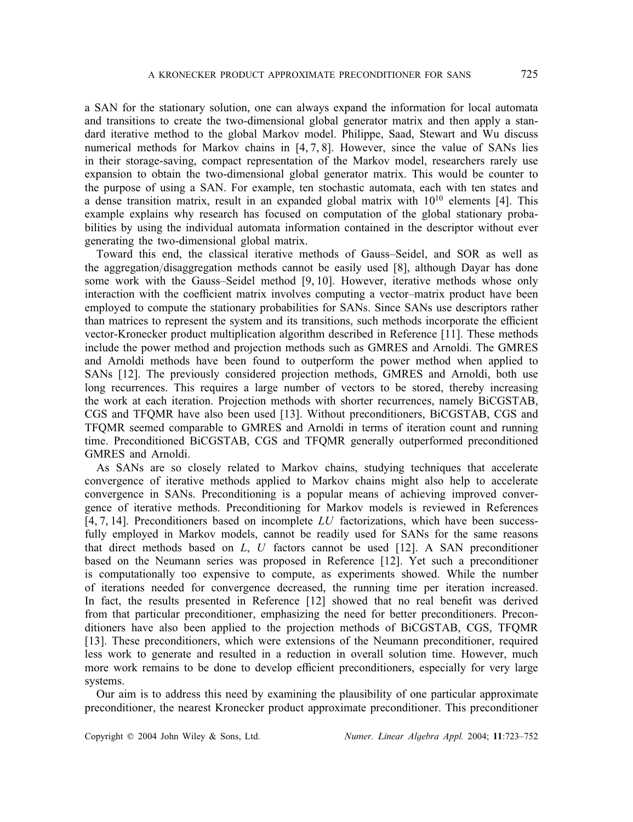a SAN for the stationary solution, one can always expand the information for local automata and transitions to create the two-dimensional global generator matrix and then apply a standard iterative method to the global Markov model. Philippe, Saad, Stewart and Wu discuss numerical methods for Markov chains in [4, 7, 8]. However, since the value of SANs lies in their storage-saving, compact representation of the Markov model, researchers rarely use expansion to obtain the two-dimensional global generator matrix. This would be counter to the purpose of using a SAN. For example, ten stochastic automata, each with ten states and a dense transition matrix, result in an expanded global matrix with  $10^{10}$  elements [4]. This example explains why research has focused on computation of the global stationary probabilities by using the individual automata information contained in the descriptor without ever generating the two-dimensional global matrix.

Toward this end, the classical iterative methods of Gauss–Seidel, and SOR as well as the aggregation/disaggregation methods cannot be easily used  $[8]$ , although Dayar has done some work with the Gauss–Seidel method [9, 10]. However, iterative methods whose only interaction with the coefficient matrix involves computing a vector–matrix product have been employed to compute the stationary probabilities for SANs. Since SANs use descriptors rather than matrices to represent the system and its transitions, such methods incorporate the efficient vector-Kronecker product multiplication algorithm described in Reference [11]. These methods include the power method and projection methods such as GMRES and Arnoldi. The GMRES and Arnoldi methods have been found to outperform the power method when applied to SANs [12]. The previously considered projection methods, GMRES and Arnoldi, both use long recurrences. This requires a large number of vectors to be stored, thereby increasing the work at each iteration. Projection methods with shorter recurrences, namely BiCGSTAB, CGS and TFQMR have also been used [13]. Without preconditioners, BiCGSTAB, CGS and TFQMR seemed comparable to GMRES and Arnoldi in terms of iteration count and running time. Preconditioned BiCGSTAB, CGS and TFQMR generally outperformed preconditioned GMRES and Arnoldi.

As SANs are so closely related to Markov chains, studying techniques that accelerate convergence of iterative methods applied to Markov chains might also help to accelerate convergence in SANs. Preconditioning is a popular means of achieving improved convergence of iterative methods. Preconditioning for Markov models is reviewed in References  $[4, 7, 14]$ . Preconditioners based on incomplete LU factorizations, which have been successfully employed in Markov models, cannot be readily used for SANs for the same reasons that direct methods based on  $L$ ,  $U$  factors cannot be used [12]. A SAN preconditioner based on the Neumann series was proposed in Reference [12]. Yet such a preconditioner is computationally too expensive to compute, as experiments showed. While the number of iterations needed for convergence decreased, the running time per iteration increased. In fact, the results presented in Reference [12] showed that no real benefit was derived from that particular preconditioner, emphasizing the need for better preconditioners. Preconditioners have also been applied to the projection methods of BiCGSTAB, CGS, TFQMR [13]. These preconditioners, which were extensions of the Neumann preconditioner, required less work to generate and resulted in a reduction in overall solution time. However, much more work remains to be done to develop efficient preconditioners, especially for very large systems.

Our aim is to address this need by examining the plausibility of one particular approximate preconditioner, the nearest Kronecker product approximate preconditioner. This preconditioner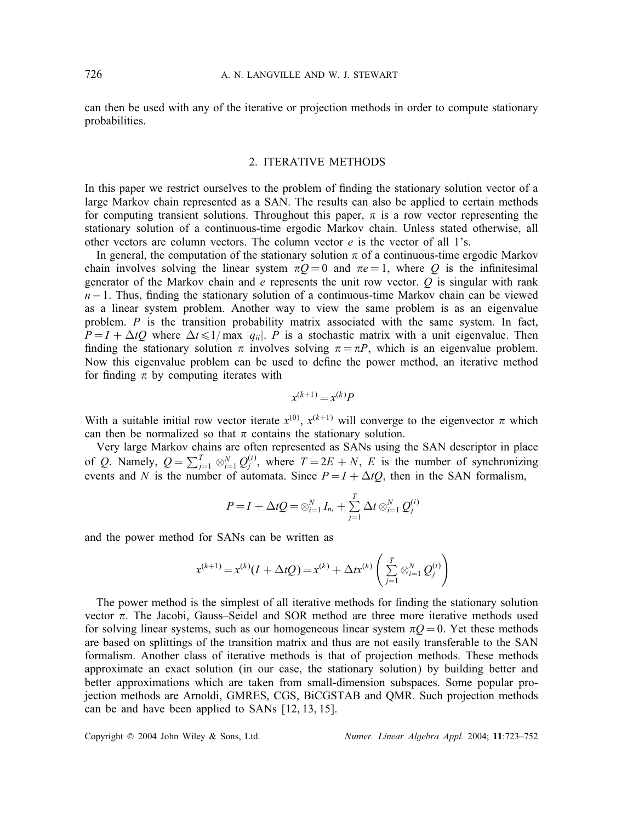can then be used with any of the iterative or projection methods in order to compute stationary probabilities.

## 2. ITERATIVE METHODS

In this paper we restrict ourselves to the problem of finding the stationary solution vector of a large Markov chain represented as a SAN. The results can also be applied to certain methods for computing transient solutions. Throughout this paper,  $\pi$  is a row vector representing the stationary solution of a continuous-time ergodic Markov chain. Unless stated otherwise, all other vectors are column vectors. The column vector  $e$  is the vector of all 1's.

In general, the computation of the stationary solution  $\pi$  of a continuous-time ergodic Markov chain involves solving the linear system  $\pi Q = 0$  and  $\pi e = 1$ , where Q is the infinitesimal generator of the Markov chain and  $e$  represents the unit row vector.  $Q$  is singular with rank  $n-1$ . Thus, finding the stationary solution of a continuous-time Markov chain can be viewed as a linear system problem. Another way to view the same problem is as an eigenvalue problem.  $P$  is the transition probability matrix associated with the same system. In fact,  $P = I + \Delta tQ$  where  $\Delta t \le 1/\max |q_{ii}|$ . P is a stochastic matrix with a unit eigenvalue. Then finding the stationary solution  $\pi$  involves solving  $\pi = \pi P$ , which is an eigenvalue problem. Now this eigenvalue problem can be used to define the power method, an iterative method for finding  $\pi$  by computing iterates with

$$
x^{(k+1)} = x^{(k)}P
$$

With a suitable initial row vector iterate  $x^{(0)}$ ,  $x^{(k+1)}$  will converge to the eigenvector  $\pi$  which can then be normalized so that  $\pi$  contains the stationary solution.

Very large Markov chains are often represented as SANs using the SAN descriptor in place of Q. Namely,  $Q = \sum_{j=1}^{T} \otimes_{i=1}^{N} Q_j^{(i)}$ , where  $T = 2E + N$ , E is the number of synchronizing events and N is the number of automata. Since  $P = I + \Delta tQ$ , then in the SAN formalism,

$$
P = I + \Delta t Q = \otimes_{i=1}^N I_{n_i} + \sum_{j=1}^T \Delta t \otimes_{i=1}^N Q_j^{(i)}
$$

and the power method for SANs can be written as

$$
x^{(k+1)} = x^{(k)}(I + \Delta tQ) = x^{(k)} + \Delta tx^{(k)} \left( \sum_{j=1}^{T} \otimes_{i=1}^{N} Q_j^{(i)} \right)
$$

The power method is the simplest of all iterative methods for finding the stationary solution vector  $\pi$ . The Jacobi, Gauss–Seidel and SOR method are three more iterative methods used for solving linear systems, such as our homogeneous linear system  $\pi Q = 0$ . Yet these methods are based on splittings of the transition matrix and thus are not easily transferable to the SAN formalism. Another class of iterative methods is that of projection methods. These methods approximate an exact solution (in our case, the stationary solution) by building better and better approximations which are taken from small-dimension subspaces. Some popular projection methods are Arnoldi, GMRES, CGS, BiCGSTAB and QMR. Such projection methods can be and have been applied to SANs [12, 13, 15].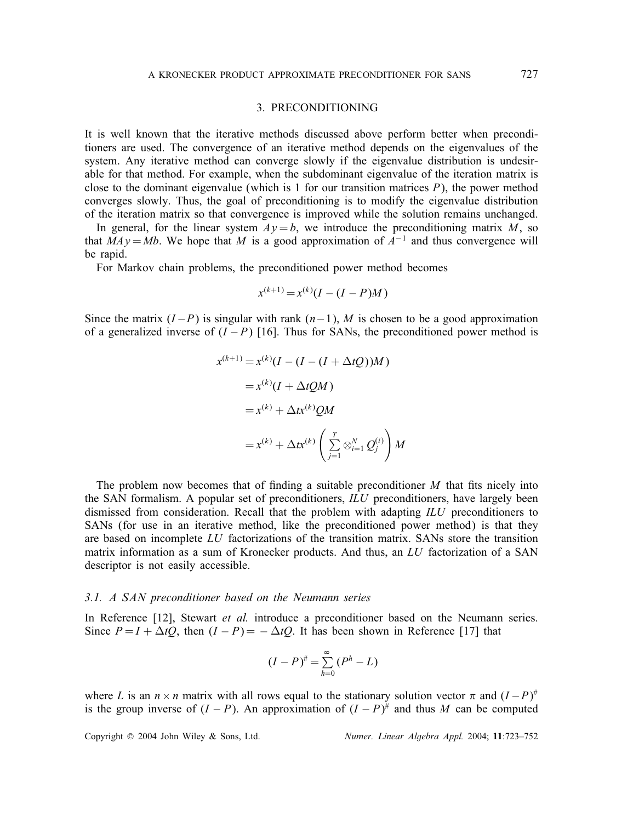## 3. PRECONDITIONING

It is well known that the iterative methods discussed above perform better when preconditioners are used. The convergence of an iterative method depends on the eigenvalues of the system. Any iterative method can converge slowly if the eigenvalue distribution is undesirable for that method. For example, when the subdominant eigenvalue of the iteration matrix is close to the dominant eigenvalue (which is 1 for our transition matrices  $P$ ), the power method converges slowly. Thus, the goal of preconditioning is to modify the eigenvalue distribution of the iteration matrix so that convergence is improved while the solution remains unchanged.

In general, for the linear system  $Ay = b$ , we introduce the preconditioning matrix M, so that MAy = Mb. We hope that M is a good approximation of  $A^{-1}$  and thus convergence will be rapid.

For Markov chain problems, the preconditioned power method becomes

$$
x^{(k+1)} = x^{(k)}(I - (I - P)M)
$$

Since the matrix  $(I - P)$  is singular with rank  $(n-1)$ , M is chosen to be a good approximation of a generalized inverse of  $(I - P)$  [16]. Thus for SANs, the preconditioned power method is

$$
x^{(k+1)} = x^{(k)}(I - (I - (I + \Delta tQ))M)
$$
  

$$
= x^{(k)}(I + \Delta tQM)
$$
  

$$
= x^{(k)} + \Delta tx^{(k)}QM
$$
  

$$
= x^{(k)} + \Delta tx^{(k)} \left(\sum_{j=1}^{T} \otimes_{i=1}^{N} Q_j^{(i)}\right)M
$$

The problem now becomes that of finding a suitable preconditioner  $M$  that fits nicely into the SAN formalism. A popular set of preconditioners,  $ILU$  preconditioners, have largely been dismissed from consideration. Recall that the problem with adapting ILU preconditioners to SANs (for use in an iterative method, like the preconditioned power method) is that they are based on incomplete LU factorizations of the transition matrix. SANs store the transition matrix information as a sum of Kronecker products. And thus, an LU factorization of a SAN descriptor is not easily accessible.

## *3.1. A SAN preconditioner based on the Neumann series*

In Reference [12], Stewart *et al.* introduce a preconditioner based on the Neumann series. Since  $P = I + \Delta tQ$ , then  $(I - P) = -\Delta tQ$ . It has been shown in Reference [17] that

$$
(I - P)^{\#} = \sum_{h=0} (P^h - L)
$$

where L is an  $n \times n$  matrix with all rows equal to the stationary solution vector  $\pi$  and  $(I - P)^{\#}$ is the group inverse of  $(I - P)$ . An approximation of  $(I - P)^{\#}$  and thus M can be computed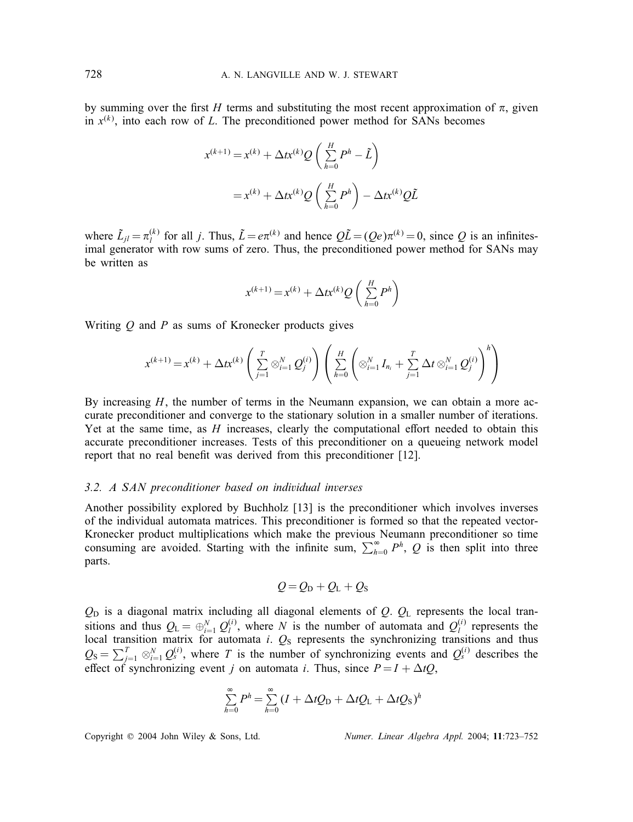by summing over the first H terms and substituting the most recent approximation of  $\pi$ , given in  $x^{(k)}$ , into each row of L. The preconditioned power method for SANs becomes

$$
x^{(k+1)} = x^{(k)} + \Delta t x^{(k)} Q\left(\sum_{h=0}^{H} P^h - \tilde{L}\right)
$$

$$
= x^{(k)} + \Delta t x^{(k)} Q\left(\sum_{h=0}^{H} P^h\right) - \Delta t x^{(k)} Q \tilde{L}
$$

where  $\tilde{L}_{jl} = \pi_l^{(k)}$  for all j. Thus,  $\tilde{L} = e\pi^{(k)}$  and hence  $Q\tilde{L} = (Qe)\pi^{(k)} = 0$ , since Q is an infinitesimal generator with row sums of zero. Thus, the preconditioned power method for SANs may be written as

$$
x^{(k+1)} = x^{(k)} + \Delta t x^{(k)} Q \left( \sum_{h=0}^{H} P^h \right)
$$

Writing  $O$  and  $P$  as sums of Kronecker products gives

$$
x^{(k+1)} = x^{(k)} + \Delta t x^{(k)} \left( \sum_{j=1}^{T} \otimes_{i=1}^{N} Q_j^{(i)} \right) \left( \sum_{h=0}^{H} \left( \otimes_{i=1}^{N} I_{n_i} + \sum_{j=1}^{T} \Delta t \otimes_{i=1}^{N} Q_j^{(i)} \right)^h \right)
$$

By increasing  $H$ , the number of terms in the Neumann expansion, we can obtain a more accurate preconditioner and converge to the stationary solution in a smaller number of iterations. Yet at the same time, as  $H$  increases, clearly the computational effort needed to obtain this accurate preconditioner increases. Tests of this preconditioner on a queueing network model report that no real benefit was derived from this preconditioner [12].

#### *3.2. A SAN preconditioner based on individual inverses*

Another possibility explored by Buchholz [13] is the preconditioner which involves inverses of the individual automata matrices. This preconditioner is formed so that the repeated vector-Kronecker product multiplications which make the previous Neumann preconditioner so time consuming are avoided. Starting with the infinite sum,  $\sum_{h=0} P^h$ , Q is then split into three parts.

$$
Q = Q_{\rm D} + Q_{\rm L} + Q_{\rm S}
$$

 $Q_D$  is a diagonal matrix including all diagonal elements of Q.  $Q_L$  represents the local transitions and thus  $Q_L = \bigoplus_{i=1}^N Q_i^{(i)}$ , where N is the number of automata and  $Q_l^{(i)}$  represents the local transition matrix for automata *i*.  $Q_s$  represents the synchronizing transitions and thus  $Q_s = \sum_{j=1}^T \otimes_{i=1}^N Q_s^{(i)}$ , where T is the number of synchronizing events and  $Q_s^{(i)}$  describes the effect of synchronizing event j on automata i. Thus, since  $P = I + \Delta tQ$ ,

$$
\sum_{h=0} P^h = \sum_{h=0} (I + \Delta t Q_D + \Delta t Q_L + \Delta t Q_S)^h
$$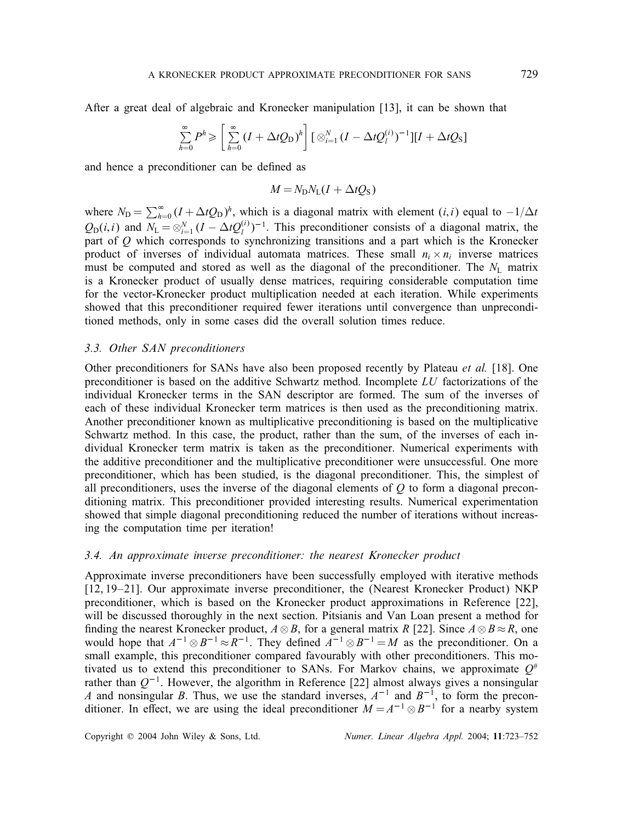After a great deal of algebraic and Kronecker manipulation [13], it can be shown that

$$
\sum_{h=0} P^h \geqslant \left[ \sum_{h=0} (I + \Delta t Q_{\text{D}})^h \right] \left[ \otimes_{i=1}^N (I - \Delta t Q_l^{(i)})^{-1} \right] \left[ I + \Delta t Q_{\text{S}} \right]
$$

and hence a preconditioner can be defined as

$$
M = N_{D}N_{L}(I + \Delta tQ_{S})
$$

where  $N_D = \sum_{h=0} (I + \Delta t Q_D)^h$ , which is a diagonal matrix with element (*i, i*) equal to  $-1/\Delta t$  $Q_D(i,i)$  and  $N_L = \otimes_{i=1}^N (I - \Delta t Q_i^{(i)})^{-1}$ . This preconditioner consists of a diagonal matrix, the part of  $Q$  which corresponds to synchronizing transitions and a part which is the Kronecker product of inverses of individual automata matrices. These small  $n_i \times n_i$  inverse matrices must be computed and stored as well as the diagonal of the preconditioner. The  $N_L$  matrix is a Kronecker product of usually dense matrices, requiring considerable computation time for the vector-Kronecker product multiplication needed at each iteration. While experiments showed that this preconditioner required fewer iterations until convergence than unpreconditioned methods, only in some cases did the overall solution times reduce.

## *3.3. Other SAN preconditioners*

Other preconditioners for SANs have also been proposed recently by Plateau *et al.* [18]. One preconditioner is based on the additive Schwartz method. Incomplete LU factorizations of the individual Kronecker terms in the SAN descriptor are formed. The sum of the inverses of each of these individual Kronecker term matrices is then used as the preconditioning matrix. Another preconditioner known as multiplicative preconditioning is based on the multiplicative Schwartz method. In this case, the product, rather than the sum, of the inverses of each individual Kronecker term matrix is taken as the preconditioner. Numerical experiments with the additive preconditioner and the multiplicative preconditioner were unsuccessful. One more preconditioner, which has been studied, is the diagonal preconditioner. This, the simplest of all preconditioners, uses the inverse of the diagonal elements of  $O$  to form a diagonal preconditioning matrix. This preconditioner provided interesting results. Numerical experimentation showed that simple diagonal preconditioning reduced the number of iterations without increasing the computation time per iteration!

#### *3.4. An approximate inverse preconditioner: the nearest Kronecker product*

Approximate inverse preconditioners have been successfully employed with iterative methods [12, 19–21]. Our approximate inverse preconditioner, the (Nearest Kronecker Product) NKP preconditioner, which is based on the Kronecker product approximations in Reference [22], will be discussed thoroughly in the next section. Pitsianis and Van Loan present a method for finding the nearest Kronecker product,  $A \otimes B$ , for a general matrix R [22]. Since  $A \otimes B \approx R$ , one would hope that  $A^{-1} \otimes B^{-1} \approx R^{-1}$ . They defined  $A^{-1} \otimes B^{-1} = M$  as the preconditioner. On a small example, this preconditioner compared favourably with other preconditioners. This motivated us to extend this preconditioner to SANs. For Markov chains, we approximate  $Q^{\#}$ rather than  $Q^{-1}$ . However, the algorithm in Reference [22] almost always gives a nonsingular A and nonsingular B. Thus, we use the standard inverses,  $A^{-1}$  and  $B^{-1}$ , to form the preconditioner. In effect, we are using the ideal preconditioner  $M = A^{-1} \otimes B^{-1}$  for a nearby system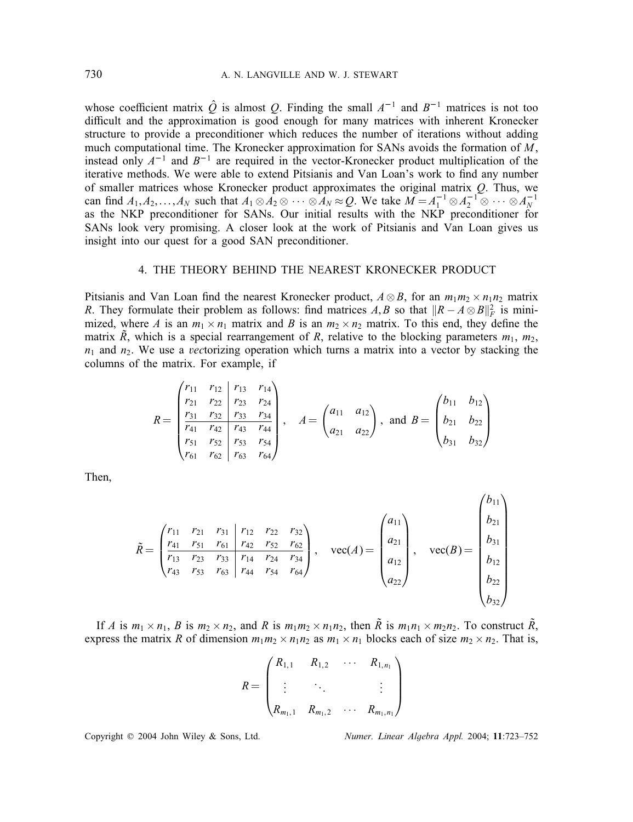whose coefficient matrix  $\hat{Q}$  is almost  $Q$ . Finding the small  $A^{-1}$  and  $B^{-1}$  matrices is not too difficult and the approximation is good enough for many matrices with inherent Kronecker structure to provide a preconditioner which reduces the number of iterations without adding much computational time. The Kronecker approximation for SANs avoids the formation of  $M$ , instead only  $A^{-1}$  and  $B^{-1}$  are required in the vector-Kronecker product multiplication of the iterative methods. We were able to extend Pitsianis and Van Loan's work to find any number of smaller matrices whose Kronecker product approximates the original matrix  $Q$ . Thus, we can find  $A_1, A_2, ..., A_N$  such that  $A_1 \otimes A_2 \otimes \cdots \otimes A_N \approx Q$ . We take  $M = A_1^{-1} \otimes A_2^{-1} \otimes \cdots \otimes A_N^{-1}$  as the NKP preconditioner for SANs. Our initial results with the NKP preconditioner for SANs look very promising. A closer look at the work of Pitsianis and Van Loan gives us insight into our quest for a good SAN preconditioner.

## 4. THE THEORY BEHIND THE NEAREST KRONECKER PRODUCT

Pitsianis and Van Loan find the nearest Kronecker product,  $A \otimes B$ , for an  $m_1 m_2 \times n_1 n_2$  matrix R. They formulate their problem as follows: find matrices A, B so that  $||R - A \otimes B||_F^2$  is minimized, where A is an  $m_1 \times n_1$  matrix and B is an  $m_2 \times n_2$  matrix. To this end, they define the matrix  $\tilde{R}$ , which is a special rearrangement of R, relative to the blocking parameters  $m_1$ ,  $m_2$ ,  $n_1$  and  $n_2$ . We use a *vectorizing operation* which turns a matrix into a vector by stacking the columns of the matrix. For example, if

$$
R = \begin{pmatrix} r_{11} & r_{12} & r_{13} & r_{14} \\ r_{21} & r_{22} & r_{23} & r_{24} \\ r_{31} & r_{32} & r_{33} & r_{34} \\ r_{41} & r_{42} & r_{43} & r_{44} \\ r_{51} & r_{52} & r_{53} & r_{54} \\ r_{61} & r_{62} & r_{63} & r_{64} \end{pmatrix}, \quad A = \begin{pmatrix} a_{11} & a_{12} \\ a_{21} & a_{22} \end{pmatrix}, \text{ and } B = \begin{pmatrix} b_{11} & b_{12} \\ b_{21} & b_{22} \\ b_{31} & b_{32} \end{pmatrix}
$$

Then,

$$
\tilde{R} = \begin{pmatrix}\nr_{11} & r_{21} & r_{31} & r_{12} & r_{22} & r_{32} \\
r_{41} & r_{51} & r_{61} & r_{42} & r_{52} & r_{62} \\
r_{13} & r_{23} & r_{33} & r_{14} & r_{24} & r_{34} \\
r_{43} & r_{53} & r_{63} & r_{44} & r_{54} & r_{64}\n\end{pmatrix}, \quad \text{vec}(A) = \begin{pmatrix}\na_{11} \\
a_{21} \\
a_{12} \\
a_{12} \\
a_{22}\n\end{pmatrix}, \quad \text{vec}(B) = \begin{pmatrix}\nb_{11} \\
b_{21} \\
b_{31} \\
b_{12} \\
b_{22} \\
b_{32}\n\end{pmatrix}
$$

If A is  $m_1 \times n_1$ , B is  $m_2 \times n_2$ , and R is  $m_1m_2 \times n_1n_2$ , then R is  $m_1n_1 \times m_2n_2$ . To construct R, express the matrix R of dimension  $m_1m_2 \times n_1n_2$  as  $m_1 \times n_1$  blocks each of size  $m_2 \times n_2$ . That is,

$$
R = \begin{pmatrix} R_{1,1} & R_{1,2} & \cdots & R_{1,n_1} \\ \vdots & \ddots & & \vdots \\ R_{m_1,1} & R_{m_1,2} & \cdots & R_{m_1,n_1} \end{pmatrix}
$$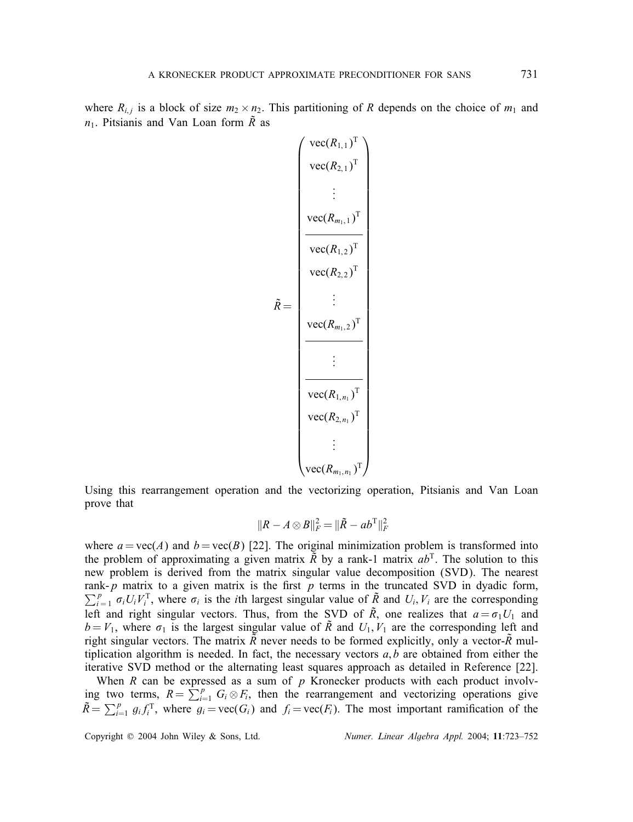where  $R_{i,j}$  is a block of size  $m_2 \times n_2$ . This partitioning of R depends on the choice of  $m_1$  and  $n_1$ . Pitsianis and Van Loan form  $\tilde{R}$  as

$$
\tilde{R} = \begin{pmatrix}\n\text{vec}(R_{1,1})^T \\
\text{vec}(R_{2,1})^T \\
\vdots \\
\text{vec}(R_{m_1,1})^T \\
\hline\n\text{vec}(R_{m_1,1})^T \\
\hline\n\text{vec}(R_{1,2})^T \\
\vdots \\
\text{vec}(R_{m_1,2})^T \\
\hline\n\vdots \\
\text{vec}(R_{1,n_1})^T \\
\hline\n\text{vec}(R_{2,n_1})^T \\
\vdots \\
\text{vec}(R_{m_1,n_1})^T\n\end{pmatrix}
$$

Using this rearrangement operation and the vectorizing operation, Pitsianis and Van Loan prove that

$$
||R - A \otimes B||_F^2 = ||\tilde{R} - ab^T||_F^2
$$

where  $a = \text{vec}(A)$  and  $b = \text{vec}(B)$  [22]. The original minimization problem is transformed into the problem of approximating a given matrix  $\tilde{R}$  by a rank-1 matrix  $ab^T$ . The solution to this new problem is derived from the matrix singular value decomposition (SVD). The nearest rank-p matrix to a given matrix is the first p terms in the truncated SVD in dyadic form,  $\sum_{i=1}^p \sigma_i U_i V_i^T$ , where  $\sigma_i$  is the *i*th largest singular value of  $\tilde{R}$  and  $U_i$ ,  $V_i$  are the corresponding left and right singular vectors. Thus, from the SVD of  $\tilde{R}$ , one realizes that  $a = \sigma_1 U_1$  and  $b = V_1$ , where  $\sigma_1$  is the largest singular value of  $\tilde{R}$  and  $U_1, V_1$  are the corresponding left and right singular vectors. The matrix  $\tilde{R}$  never needs to be formed explicitly, only a vector- $\tilde{R}$  multiplication algorithm is needed. In fact, the necessary vectors  $a, b$  are obtained from either the iterative SVD method or the alternating least squares approach as detailed in Reference [22].

When R can be expressed as a sum of  $p$  Kronecker products with each product involving two terms,  $R = \sum_{i=1}^{p} G_i \otimes F_i$ , then the rearrangement and vectorizing operations give  $\tilde{R} = \sum_{i=1}^p g_i f_i^T$ , where  $g_i = \text{vec}(G_i)$  and  $f_i = \text{vec}(F_i)$ . The most important ramification of the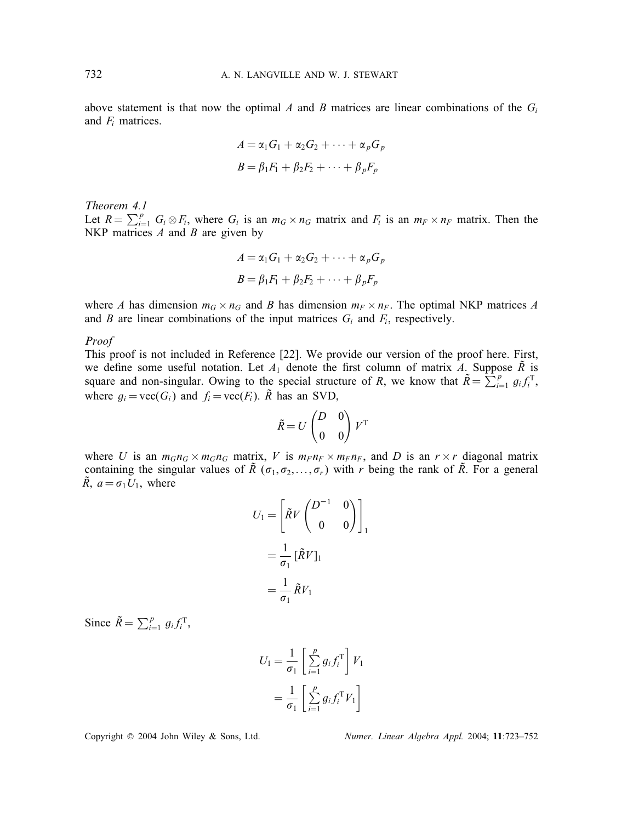above statement is that now the optimal A and B matrices are linear combinations of the  $G_i$ and  $F_i$  matrices.

$$
A = \alpha_1 G_1 + \alpha_2 G_2 + \dots + \alpha_p G_p
$$
  

$$
B = \beta_1 F_1 + \beta_2 F_2 + \dots + \beta_p F_p
$$

*Theorem 4.1*

Let  $R = \sum_{i=1}^{p} G_i \otimes F_i$ , where  $G_i$  is an  $m_G \times n_G$  matrix and  $F_i$  is an  $m_F \times n_F$  matrix. Then the NKP matrices  $A$  and  $B$  are given by

$$
A = \alpha_1 G_1 + \alpha_2 G_2 + \dots + \alpha_p G_p
$$
  

$$
B = \beta_1 F_1 + \beta_2 F_2 + \dots + \beta_p F_p
$$

where A has dimension  $m_G \times n_G$  and B has dimension  $m_F \times n_F$ . The optimal NKP matrices A and B are linear combinations of the input matrices  $G_i$  and  $F_i$ , respectively.

#### *Proof*

This proof is not included in Reference [22]. We provide our version of the proof here. First, we define some useful notation. Let  $A_1$  denote the first column of matrix A. Suppose  $\tilde{R}$  is square and non-singular. Owing to the special structure of R, we know that  $\tilde{R} = \sum_{i=1}^{p} g_i f_i^{\mathrm{T}}$ , where  $g_i = \text{vec}(G_i)$  and  $f_i = \text{vec}(F_i)$ .  $\tilde{R}$  has an SVD,

$$
\tilde{R}=U\begin{pmatrix}D&0\\0&0\end{pmatrix}V^{\rm T}
$$

where U is an  $m_G n_G \times m_G n_G$  matrix, V is  $m_F n_F \times m_F n_F$ , and D is an  $r \times r$  diagonal matrix containing the singular values of  $\tilde{R}$  ( $\sigma_1, \sigma_2, ..., \sigma_r$ ) with r being the rank of  $\tilde{R}$ . For a general  $\tilde{R}$ ,  $a = \sigma_1 U_1$ , where

$$
U_1 = \begin{bmatrix} \tilde{R}V \begin{pmatrix} D^{-1} & 0 \\ 0 & 0 \end{pmatrix} \end{bmatrix}_1
$$
  
=  $\frac{1}{\sigma_1} [\tilde{R}V]_1$   
=  $\frac{1}{\sigma_1} \tilde{R}V_1$ 

Since  $\tilde{R} = \sum_{i=1}^{p} g_i f_i^{T}$ ,

$$
U_1 = \frac{1}{\sigma_1} \left[ \sum_{i=1}^p g_i f_i^{\mathrm{T}} \right] V_1
$$

$$
= \frac{1}{\sigma_1} \left[ \sum_{i=1}^p g_i f_i^{\mathrm{T}} V_1 \right]
$$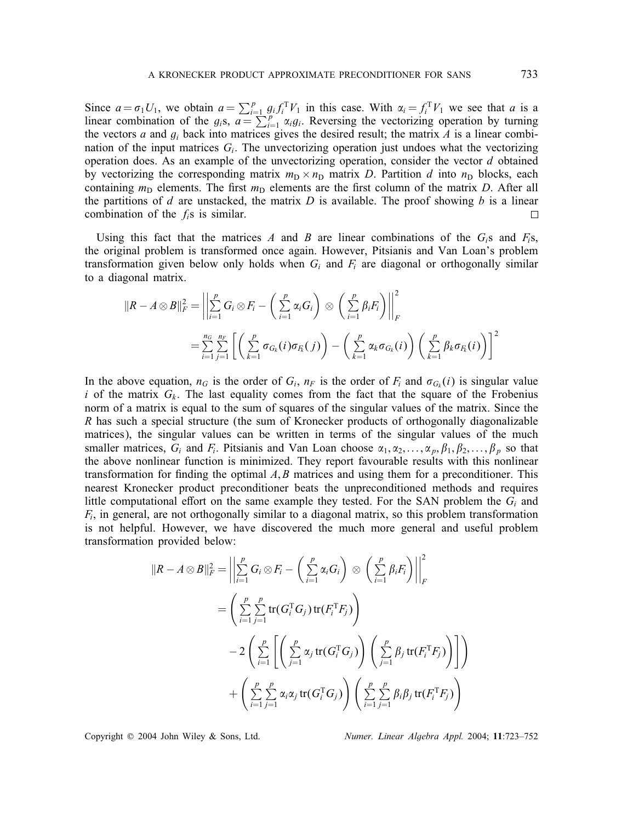Since  $a = \sigma_1 U_1$ , we obtain  $a = \sum_{i=1}^p g_i f_i^T V_1$  in this case. With  $\alpha_i = f_i^T V_1$  we see that a is a linear combination of the  $g_i$ s,  $a = \sum_{i=1}^{p} \alpha_i g_i$ . Reversing the vectorizing operation by turning the vectors a and  $g_i$  back into matrices gives the desired result; the matrix A is a linear combination of the input matrices  $G_i$ . The unvectorizing operation just undoes what the vectorizing operation does. As an example of the unvectorizing operation, consider the vector  $d$  obtained by vectorizing the corresponding matrix  $m_D \times n_D$  matrix D. Partition d into  $n_D$  blocks, each containing  $m<sub>D</sub>$  elements. The first  $m<sub>D</sub>$  elements are the first column of the matrix D. After all the partitions of d are unstacked, the matrix  $D$  is available. The proof showing  $b$  is a linear combination of the  $f_i$ s is similar.  $\Box$ 

Using this fact that the matrices A and B are linear combinations of the  $G_i$ s and  $F_i$ s, the original problem is transformed once again. However, Pitsianis and Van Loan's problem transformation given below only holds when  $G_i$  and  $F_i$  are diagonal or orthogonally similar to a diagonal matrix.

$$
||R - A \otimes B||_F^2 = \left|\left|\sum_{i=1}^p G_i \otimes F_i - \left(\sum_{i=1}^p \alpha_i G_i\right) \otimes \left(\sum_{i=1}^p \beta_i F_i\right)\right|\right|_F^2
$$
  
= 
$$
\sum_{i=1}^{n_G} \sum_{j=1}^{n_F} \left[\left(\sum_{k=1}^p \sigma_{G_k}(i) \sigma_{F_k}(j)\right) - \left(\sum_{k=1}^p \alpha_k \sigma_{G_k}(i)\right) \left(\sum_{k=1}^p \beta_k \sigma_{F_k}(i)\right)\right]^2
$$

In the above equation,  $n_G$  is the order of  $G_i$ ,  $n_F$  is the order of  $F_i$  and  $\sigma_{G_k}(i)$  is singular value i of the matrix  $G_k$ . The last equality comes from the fact that the square of the Frobenius norm of a matrix is equal to the sum of squares of the singular values of the matrix. Since the R has such a special structure (the sum of Kronecker products of orthogonally diagonalizable matrices), the singular values can be written in terms of the singular values of the much smaller matrices,  $G_i$  and  $F_i$ . Pitsianis and Van Loan choose  $\alpha_1, \alpha_2, \ldots, \alpha_p, \beta_1, \beta_2, \ldots, \beta_p$  so that the above nonlinear function is minimized. They report favourable results with this nonlinear transformation for finding the optimal  $A, B$  matrices and using them for a preconditioner. This nearest Kronecker product preconditioner beats the unpreconditioned methods and requires little computational effort on the same example they tested. For the SAN problem the  $G_i$  and  $F_i$ , in general, are not orthogonally similar to a diagonal matrix, so this problem transformation is not helpful. However, we have discovered the much more general and useful problem transformation provided below:

$$
||R - A \otimes B||_F^2 = \left|\left|\sum_{i=1}^p G_i \otimes F_i - \left(\sum_{i=1}^p \alpha_i G_i\right) \otimes \left(\sum_{i=1}^p \beta_i F_i\right)\right|\right|_F^2
$$
  

$$
= \left(\sum_{i=1}^p \sum_{j=1}^p \text{tr}(G_i^T G_j) \text{tr}(F_i^T F_j)\right)
$$
  

$$
-2 \left(\sum_{i=1}^p \left[\left(\sum_{j=1}^p \alpha_j \text{tr}(G_i^T G_j)\right) \left(\sum_{j=1}^p \beta_j \text{tr}(F_i^T F_j)\right)\right]\right)
$$
  

$$
+ \left(\sum_{i=1}^p \sum_{j=1}^p \alpha_i \alpha_j \text{tr}(G_i^T G_j)\right) \left(\sum_{i=1}^p \sum_{j=1}^p \beta_i \beta_j \text{tr}(F_i^T F_j)\right)
$$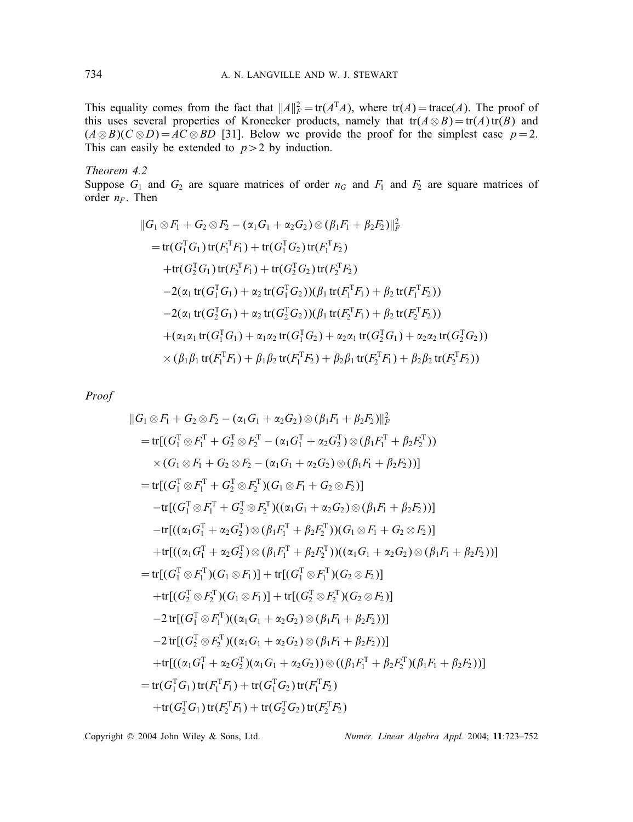This equality comes from the fact that  $||A||_F^2 = \text{tr}(A^T A)$ , where  $\text{tr}(A) = \text{trace}(A)$ . The proof of this uses several properties of Kronecker products, namely that  $tr(A \otimes B) = tr(A) tr(B)$  and  $(A \otimes B)(C \otimes D) = AC \otimes BD$  [31]. Below we provide the proof for the simplest case  $p = 2$ . This can easily be extended to  $p > 2$  by induction.

*Theorem 4.2*

Suppose  $G_1$  and  $G_2$  are square matrices of order  $n_G$  and  $F_1$  and  $F_2$  are square matrices of order  $n_F$ . Then

$$
||G_1 \otimes F_1 + G_2 \otimes F_2 - (\alpha_1 G_1 + \alpha_2 G_2) \otimes (\beta_1 F_1 + \beta_2 F_2)||_F^2
$$
  
= tr(G\_1^T G\_1) tr(F\_1^T F\_1) + tr(G\_1^T G\_2) tr(F\_1^T F\_2)  
+ tr(G\_2^T G\_1) tr(F\_2^T F\_1) + tr(G\_2^T G\_2) tr(F\_2^T F\_2)  
-2(\alpha\_1 tr(G\_1^T G\_1) + \alpha\_2 tr(G\_1^T G\_2))(\beta\_1 tr(F\_1^T F\_1) + \beta\_2 tr(F\_1^T F\_2))  
-2(\alpha\_1 tr(G\_2^T G\_1) + \alpha\_2 tr(G\_2^T G\_2))(\beta\_1 tr(F\_2^T F\_1) + \beta\_2 tr(F\_2^T F\_2))  
+ (\alpha\_1 \alpha\_1 tr(G\_1^T G\_1) + \alpha\_1 \alpha\_2 tr(G\_1^T G\_2) + \alpha\_2 \alpha\_1 tr(G\_2^T G\_1) + \alpha\_2 \alpha\_2 tr(G\_2^T G\_2))  
× (\beta\_1 \beta\_1 tr(F\_1^T F\_1) + \beta\_1 \beta\_2 tr(F\_1^T F\_2) + \beta\_2 \beta\_1 tr(F\_2^T F\_1) + \beta\_2 \beta\_2 tr(F\_2^T F\_2))

*Proof*

$$
||G_1 \otimes F_1 + G_2 \otimes F_2 - (\alpha_1 G_1 + \alpha_2 G_2) \otimes (\beta_1 F_1 + \beta_2 F_2)||_F^2
$$
  
\n= tr[ $(G_1^T \otimes F_1^T + G_2^T \otimes F_2^T - (\alpha_1 G_1^T + \alpha_2 G_2^T) \otimes (\beta_1 F_1^T + \beta_2 F_2^T))$   
\n $\times (G_1 \otimes F_1 + G_2 \otimes F_2 - (\alpha_1 G_1 + \alpha_2 G_2) \otimes (\beta_1 F_1 + \beta_2 F_2))]$   
\n= tr[ $(G_1^T \otimes F_1^T + G_2^T \otimes F_2^T)(G_1 \otimes F_1 + G_2 \otimes F_2)]$   
\n- tr[ $(G_1^T \otimes F_1^T + G_2^T \otimes F_2^T)((\alpha_1 G_1 + \alpha_2 G_2) \otimes (\beta_1 F_1 + \beta_2 F_2))]$   
\n- tr[ $((\alpha_1 G_1^T + \alpha_2 G_2^T) \otimes (\beta_1 F_1^T + \beta_2 F_2^T))((\alpha_1 G_1 + \alpha_2 G_2) \otimes (\beta_1 F_1 + \beta_2 F_2))]$   
\n+ tr[ $((\alpha_1 G_1^T + \alpha_2 G_2^T) \otimes (\beta_1 F_1^T + \beta_2 F_2^T))((\alpha_1 G_1 + \alpha_2 G_2) \otimes (\beta_1 F_1 + \beta_2 F_2))]$   
\n+ tr[ $(G_1^T \otimes F_1^T)(G_1 \otimes F_1)] + tr[(G_1^T \otimes F_1^T)(G_2 \otimes F_2)]$   
\n+ tr[ $(G_1^T \otimes F_2^T)(G_1 \otimes F_1)] + tr[(G_2^T \otimes F_2^T)(G_2 \otimes F_2)]$   
\n- 2 tr[ $(G_1^T \otimes F_1^T)((\alpha_1 G_1 + \alpha_2 G_2) \otimes (\beta_1 F_1 + \beta_2 F_2))]$   
\n- 2 tr[ $(G_1^T \otimes F_2^T)((\alpha_1 G_1 + \alpha_2 G_2)$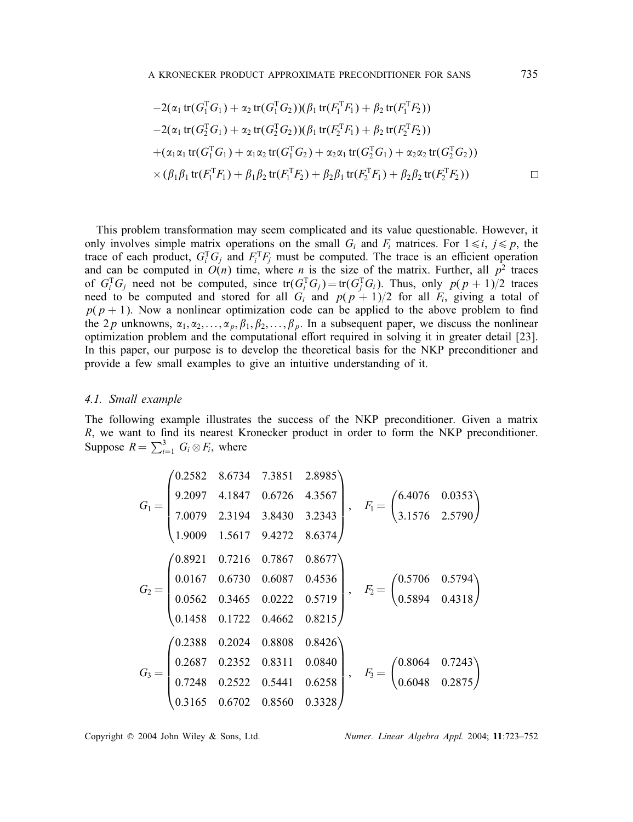$$
-2(\alpha_1 \operatorname{tr}(G_1^T G_1) + \alpha_2 \operatorname{tr}(G_1^T G_2))(\beta_1 \operatorname{tr}(F_1^T F_1) + \beta_2 \operatorname{tr}(F_1^T F_2))
$$
  
\n
$$
-2(\alpha_1 \operatorname{tr}(G_2^T G_1) + \alpha_2 \operatorname{tr}(G_2^T G_2))(\beta_1 \operatorname{tr}(F_2^T F_1) + \beta_2 \operatorname{tr}(F_2^T F_2))
$$
  
\n
$$
+(\alpha_1 \alpha_1 \operatorname{tr}(G_1^T G_1) + \alpha_1 \alpha_2 \operatorname{tr}(G_1^T G_2) + \alpha_2 \alpha_1 \operatorname{tr}(G_2^T G_1) + \alpha_2 \alpha_2 \operatorname{tr}(G_2^T G_2))
$$
  
\n
$$
\times (\beta_1 \beta_1 \operatorname{tr}(F_1^T F_1) + \beta_1 \beta_2 \operatorname{tr}(F_1^T F_2) + \beta_2 \beta_1 \operatorname{tr}(F_2^T F_1) + \beta_2 \beta_2 \operatorname{tr}(F_2^T F_2))
$$

This problem transformation may seem complicated and its value questionable. However, it only involves simple matrix operations on the small  $G_i$  and  $F_i$  matrices. For  $1 \le i, j \le p$ , the trace of each product,  $G_i^T G_j$  and  $F_i^T F_j$  must be computed. The trace is an efficient operation and can be computed in  $O(n)$  time, where *n* is the size of the matrix. Further, all  $p^2$  traces of  $G_i^T G_j$  need not be computed, since  $tr(G_i^T G_j) = tr(G_j^T G_i)$ . Thus, only  $p(p + 1)/2$  traces need to be computed and stored for all  $G_i$  and  $p(p + 1)/2$  for all  $F_i$ , giving a total of  $p(p + 1)$ . Now a nonlinear optimization code can be applied to the above problem to find the 2p unknowns,  $\alpha_1, \alpha_2, \ldots, \alpha_p, \beta_1, \beta_2, \ldots, \beta_p$ . In a subsequent paper, we discuss the nonlinear optimization problem and the computational effort required in solving it in greater detail [23]. In this paper, our purpose is to develop the theoretical basis for the NKP preconditioner and provide a few small examples to give an intuitive understanding of it.

## *4.1. Small example*

The following example illustrates the success of the NKP preconditioner. Given a matrix R, we want to find its nearest Kronecker product in order to form the NKP preconditioner. Suppose  $R = \sum_{i=1}^{3} G_i \otimes F_i$ , where

$$
G_{1} = \begin{pmatrix} 0.2582 & 8.6734 & 7.3851 & 2.8985 \\ 9.2097 & 4.1847 & 0.6726 & 4.3567 \\ 7.0079 & 2.3194 & 3.8430 & 3.2343 \\ 1.9009 & 1.5617 & 9.4272 & 8.6374 \end{pmatrix}, F_{1} = \begin{pmatrix} 6.4076 & 0.0353 \\ 3.1576 & 2.5790 \end{pmatrix}
$$
  
\n
$$
G_{2} = \begin{pmatrix} 0.8921 & 0.7216 & 0.7867 & 0.8677 \\ 0.0167 & 0.6730 & 0.6087 & 0.4536 \\ 0.0562 & 0.3465 & 0.0222 & 0.5719 \\ 0.1458 & 0.1722 & 0.4662 & 0.8215 \end{pmatrix}, F_{2} = \begin{pmatrix} 0.5706 & 0.5794 \\ 0.5894 & 0.4318 \end{pmatrix}
$$
  
\n
$$
G_{3} = \begin{pmatrix} 0.2388 & 0.2024 & 0.8808 & 0.8426 \\ 0.2687 & 0.2352 & 0.8311 & 0.0840 \\ 0.7248 & 0.2522 & 0.5441 & 0.6258 \\ 0.3165 & 0.6702 & 0.8560 & 0.3328 \end{pmatrix}, F_{3} = \begin{pmatrix} 0.8064 & 0.7243 \\ 0.6048 & 0.2875 \end{pmatrix}
$$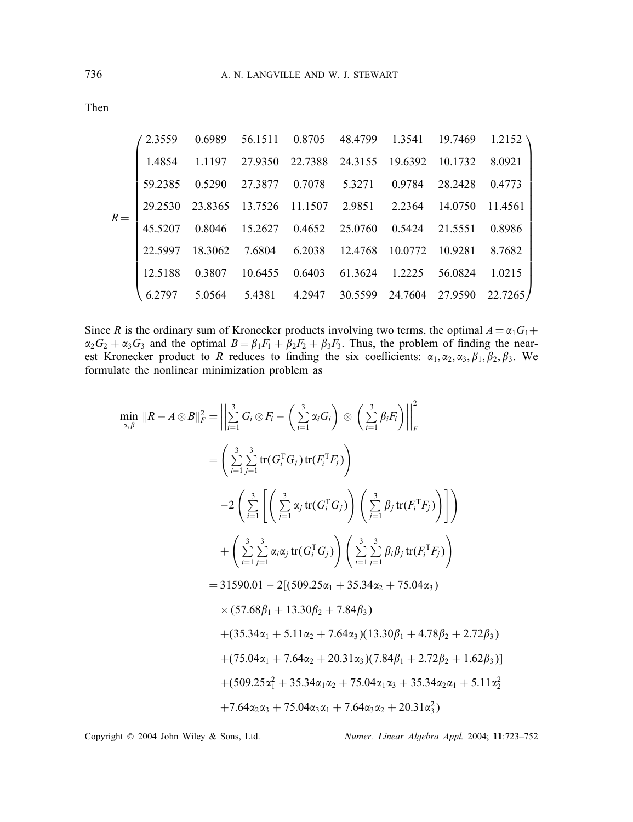Then

|       | 2.3559  |         |                       | 0.6989 56.1511 0.8705 48.4799 1.3541 19.7469 1.2152 |        |                |          |
|-------|---------|---------|-----------------------|-----------------------------------------------------|--------|----------------|----------|
| $R =$ | 1.4854  | 1.1197  |                       | 27.9350 22.7388 24.3155 19.6392 10.1732 8.0921      |        |                |          |
|       | 59.2385 | 0.5290  | 27.3877 0.7078 5.3271 |                                                     | 0.9784 | 28.2428 0.4773 |          |
|       | 29.2530 | 23.8365 | 13.7526               | 11.1507 2.9851 2.2364 14.0750                       |        |                | 11.4561  |
|       | 45.5207 | 0.8046  |                       | 15.2627  0.4652  25.0760  0.5424  21.5551  0.8986   |        |                |          |
|       | 22.5997 | 18.3062 |                       | 7.6804 6.2038 12.4768 10.0772                       |        | 10.9281 8.7682 |          |
|       | 12.5188 | 0.3807  |                       | 10.6455  0.6403  61.3624  1.2225  56.0824           |        |                | 1.0215   |
|       |         | 5.0564  |                       | 5.4381 4.2947 30.5599 24.7604 27.9590               |        |                | 22.7265/ |

Since R is the ordinary sum of Kronecker products involving two terms, the optimal  $A = \alpha_1 G_1 +$  $\alpha_2 G_2 + \alpha_3 G_3$  and the optimal  $B = \beta_1 F_1 + \beta_2 F_2 + \beta_3 F_3$ . Thus, the problem of finding the nearest Kronecker product to R reduces to finding the six coefficients:  $\alpha_1, \alpha_2, \alpha_3, \beta_1, \beta_2, \beta_3$ . We formulate the nonlinear minimization problem as

$$
\min_{\alpha,\beta} \|R - A \otimes B\|_F^2 = \left\| \sum_{i=1}^3 G_i \otimes F_i - \left( \sum_{i=1}^3 \alpha_i G_i \right) \otimes \left( \sum_{i=1}^3 \beta_i F_i \right) \right\|_F^2
$$
\n
$$
= \left( \sum_{i=1}^3 \sum_{j=1}^3 \text{tr}(G_i^T G_j) \text{tr}(F_i^T F_j) \right)
$$
\n
$$
-2 \left( \sum_{i=1}^3 \left[ \left( \sum_{j=1}^3 \alpha_j \text{tr}(G_i^T G_j) \right) \left( \sum_{j=1}^3 \beta_j \text{tr}(F_i^T F_j) \right) \right] \right)
$$
\n
$$
+ \left( \sum_{i=1}^3 \sum_{j=1}^3 \alpha_i \alpha_j \text{tr}(G_i^T G_j) \right) \left( \sum_{i=1}^3 \sum_{j=1}^3 \beta_i \beta_j \text{tr}(F_i^T F_j) \right)
$$
\n
$$
= 31590.01 - 2[(509.25\alpha_1 + 35.34\alpha_2 + 75.04\alpha_3)
$$
\n
$$
\times (57.68\beta_1 + 13.30\beta_2 + 7.84\beta_3)
$$
\n
$$
+ (35.34\alpha_1 + 5.11\alpha_2 + 7.64\alpha_3)(13.30\beta_1 + 4.78\beta_2 + 2.72\beta_3)
$$
\n
$$
+ (75.04\alpha_1 + 7.64\alpha_2 + 20.31\alpha_3)(7.84\beta_1 + 2.72\beta_2 + 1.62\beta_3)]
$$
\n
$$
+ (509.25\alpha_1^2 + 35.34\alpha_1\alpha_2 + 75.04\alpha_1\alpha_3 + 35.34\alpha_2\alpha_1 + 5.11\alpha_2^2
$$
\n
$$
+ 7.64\alpha_2\alpha_3 + 75.04\alpha_3\alpha_1 + 7.64\alpha_3\alpha_2 + 20.31\alpha_3^2)
$$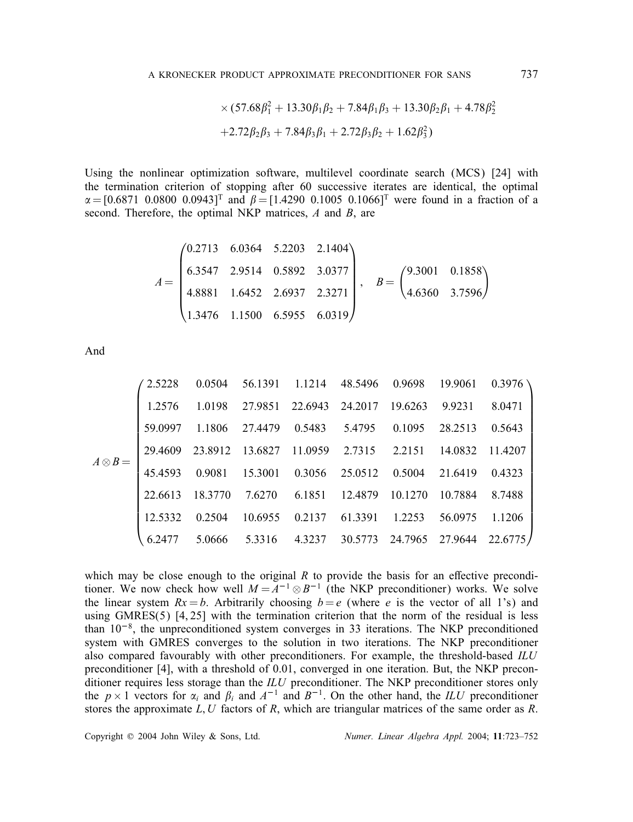$$
\times (57.68\beta_1^2 + 13.30\beta_1\beta_2 + 7.84\beta_1\beta_3 + 13.30\beta_2\beta_1 + 4.78\beta_2^2
$$
  
+2.72 $\beta_2\beta_3$  + 7.84 $\beta_3\beta_1$  + 2.72 $\beta_3\beta_2$  + 1.62 $\beta_3^2$ )

Using the nonlinear optimization software, multilevel coordinate search (MCS) [24] with the termination criterion of stopping after 60 successive iterates are identical, the optimal  $\alpha = [0.6871 \ 0.0800 \ 0.0943]^T$  and  $\beta = [1.4290 \ 0.1005 \ 0.1066]^T$  were found in a fraction of a second. Therefore, the optimal NKP matrices, A and B, are

$$
A = \begin{pmatrix} 0.2713 & 6.0364 & 5.2203 & 2.1404 \\ 6.3547 & 2.9514 & 0.5892 & 3.0377 \\ 4.8881 & 1.6452 & 2.6937 & 2.3271 \\ 1.3476 & 1.1500 & 6.5955 & 6.0319 \end{pmatrix}, \quad B = \begin{pmatrix} 9.3001 & 0.1858 \\ 4.6360 & 3.7596 \end{pmatrix}
$$

And

$$
A \otimes B = \begin{pmatrix} 2.5228 & 0.0504 & 56.1391 & 1.1214 & 48.5496 & 0.9698 & 19.9061 & 0.3976 \\ 1.2576 & 1.0198 & 27.9851 & 22.6943 & 24.2017 & 19.6263 & 9.9231 & 8.0471 \\ 59.0997 & 1.1806 & 27.4479 & 0.5483 & 5.4795 & 0.1095 & 28.2513 & 0.5643 \\ 29.4609 & 23.8912 & 13.6827 & 11.0959 & 2.7315 & 2.2151 & 14.0832 & 11.4207 \\ 45.4593 & 0.9081 & 15.3001 & 0.3056 & 25.0512 & 0.5004 & 21.6419 & 0.4323 \\ 22.6613 & 18.3770 & 7.6270 & 6.1851 & 12.4879 & 10.1270 & 10.7884 & 8.7488 \\ 12.5332 & 0.2504 & 10.6955 & 0.2137 & 61.3391 & 1.2253 & 56.0975 & 1.1206 \\ 6.2477 & 5.0666 & 5.3316 & 4.3237 & 30.5773 & 24.7965 & 27.9644 & 22.6775 \end{pmatrix}
$$

which may be close enough to the original  $R$  to provide the basis for an effective preconditioner. We now check how well  $M = A^{-1} \otimes B^{-1}$  (the NKP preconditioner) works. We solve the linear system  $Rx = b$ . Arbitrarily choosing  $b = e$  (where e is the vector of all 1's) and using GMRES(5)  $[4, 25]$  with the termination criterion that the norm of the residual is less than  $10^{-8}$ , the unpreconditioned system converges in 33 iterations. The NKP preconditioned system with GMRES converges to the solution in two iterations. The NKP preconditioner also compared favourably with other preconditioners. For example, the threshold-based  $ILU$ preconditioner [4], with a threshold of 0.01, converged in one iteration. But, the NKP preconditioner requires less storage than the  $ILU$  preconditioner. The NKP preconditioner stores only the  $p \times 1$  vectors for  $\alpha_i$  and  $\beta_i$  and  $A^{-1}$  and  $B^{-1}$ . On the other hand, the ILU preconditioner stores the approximate L, U factors of R, which are triangular matrices of the same order as R.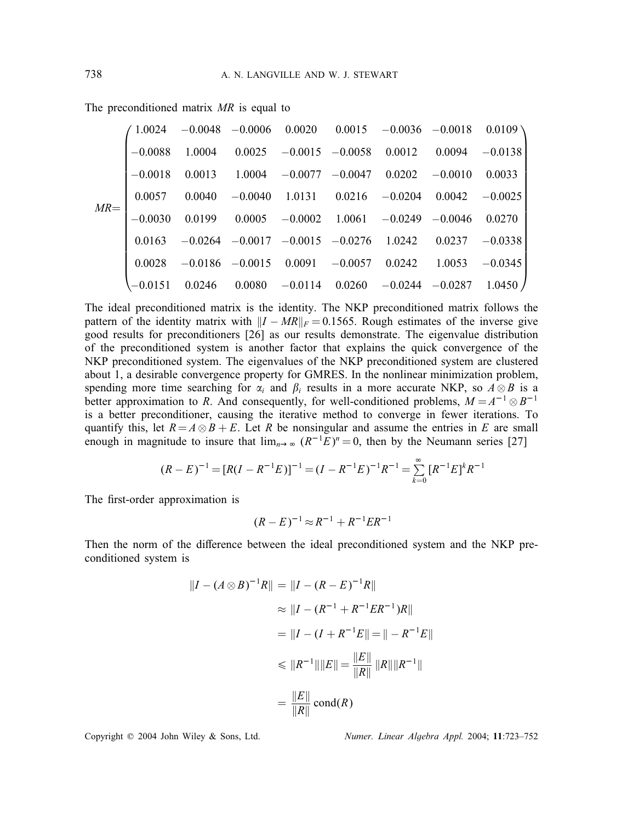The preconditioned matrix MR is equal to

|       | 1.0024    |        | $-0.0048$ $-0.0006$ 0.0020 0.0015 $-0.0036$ $-0.0018$ 0.0109    |                                                |  |         |
|-------|-----------|--------|-----------------------------------------------------------------|------------------------------------------------|--|---------|
| $MR=$ | $-0.0088$ | 1.0004 | $0.0025$ $-0.0015$ $-0.0058$ $0.0012$ $0.0094$ $-0.0138$        |                                                |  |         |
|       | $-0.0018$ | 0.0013 | 1.0004                                                          | $-0.0077$ $-0.0047$ 0.0202 $-0.0010$ 0.0033    |  |         |
|       | 0.0057    |        | $0.0040 - 0.0040$                                               | $1.0131$ $0.0216$ $-0.0204$ $0.0042$ $-0.0025$ |  |         |
|       | $-0.0030$ | 0.0199 | $0.0005$ $-0.0002$ $1.0061$ $-0.0249$ $-0.0046$ $0.0270$        |                                                |  |         |
|       | 0.0163    |        | $-0.0264$ $-0.0017$ $-0.0015$ $-0.0276$ 1.0242 0.0237 $-0.0338$ |                                                |  |         |
|       | 0.0028    |        | $-0.0186 - 0.0015$                                              | $0.0091$ $-0.0057$ $0.0242$ $1.0053$ $-0.0345$ |  |         |
|       |           | 0.0246 | 0.0080                                                          | $-0.0114$ $0.0260$ $-0.0244$ $-0.0287$         |  | 1.0450/ |

The ideal preconditioned matrix is the identity. The NKP preconditioned matrix follows the pattern of the identity matrix with  $||I - MR||_F = 0.1565$ . Rough estimates of the inverse give good results for preconditioners [26] as our results demonstrate. The eigenvalue distribution of the preconditioned system is another factor that explains the quick convergence of the NKP preconditioned system. The eigenvalues of the NKP preconditioned system are clustered about 1, a desirable convergence property for GMRES. In the nonlinear minimization problem, spending more time searching for  $\alpha_i$  and  $\beta_i$  results in a more accurate NKP, so  $A \otimes B$  is a better approximation to R. And consequently, for well-conditioned problems,  $M = A^{-1} \otimes B^{-1}$ is a better preconditioner, causing the iterative method to converge in fewer iterations. To quantify this, let  $R = A \otimes B + E$ . Let R be nonsingular and assume the entries in E are small enough in magnitude to insure that  $\lim_{n \to \infty} (R^{-1}E)^n = 0$ , then by the Neumann series [27]

$$
(R - E)^{-1} = [R(I - R^{-1}E)]^{-1} = (I - R^{-1}E)^{-1}R^{-1} = \sum_{k=0} [R^{-1}E]^k R^{-1}
$$

The first-order approximation is

$$
(R-E)^{-1} \approx R^{-1} + R^{-1}ER^{-1}
$$

Then the norm of the difference between the ideal preconditioned system and the NKP preconditioned system is

$$
||I - (A \otimes B)^{-1}R|| = ||I - (R - E)^{-1}R||
$$
  
\n
$$
\approx ||I - (R^{-1} + R^{-1}ER^{-1})R||
$$
  
\n
$$
= ||I - (I + R^{-1}E|| = || - R^{-1}E||
$$
  
\n
$$
\le ||R^{-1}|| ||E|| = \frac{||E||}{||R||} ||R||||R^{-1}||
$$
  
\n
$$
= \frac{||E||}{||R||} \operatorname{cond}(R)
$$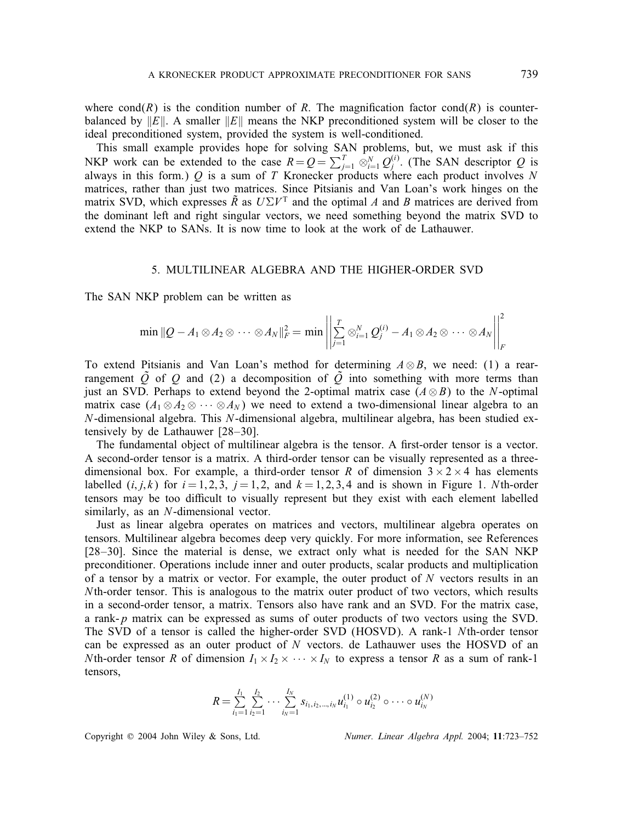where cond(R) is the condition number of R. The magnification factor cond(R) is counterbalanced by  $||E||$ . A smaller  $||E||$  means the NKP preconditioned system will be closer to the ideal preconditioned system, provided the system is well-conditioned.

This small example provides hope for solving SAN problems, but, we must ask if this NKP work can be extended to the case  $R = Q = \sum_{j=1}^{T} \otimes_{i=1}^{N} Q_j^{(i)}$ . (The SAN descriptor Q is always in this form.) Q is a sum of T Kronecker products where each product involves N matrices, rather than just two matrices. Since Pitsianis and Van Loan's work hinges on the matrix SVD, which expresses  $\tilde{R}$  as  $U\Sigma V^{T}$  and the optimal A and B matrices are derived from the dominant left and right singular vectors, we need something beyond the matrix SVD to extend the NKP to SANs. It is now time to look at the work of de Lathauwer.

## 5. MULTILINEAR ALGEBRA AND THE HIGHER-ORDER SVD

The SAN NKP problem can be written as

$$
\min ||Q - A_1 \otimes A_2 \otimes \cdots \otimes A_N||_F^2 = \min \left|\left|\sum_{j=1}^T \otimes_{i=1}^N Q_j^{(i)} - A_1 \otimes A_2 \otimes \cdots \otimes A_N\right|\right|_F^2
$$

To extend Pitsianis and Van Loan's method for determining  $A \otimes B$ , we need: (1) a rearrangement  $\tilde{Q}$  of Q and (2) a decomposition of  $\tilde{Q}$  into something with more terms than just an SVD. Perhaps to extend beyond the 2-optimal matrix case  $(A \otimes B)$  to the N-optimal matrix case  $(A_1 \otimes A_2 \otimes \cdots \otimes A_N)$  we need to extend a two-dimensional linear algebra to an N-dimensional algebra. This N-dimensional algebra, multilinear algebra, has been studied extensively by de Lathauwer [28–30].

The fundamental object of multilinear algebra is the tensor. A first-order tensor is a vector. A second-order tensor is a matrix. A third-order tensor can be visually represented as a threedimensional box. For example, a third-order tensor R of dimension  $3 \times 2 \times 4$  has elements labelled  $(i, j, k)$  for  $i = 1, 2, 3, j = 1, 2,$  and  $k = 1, 2, 3, 4$  and is shown in Figure 1. Nth-order tensors may be too difficult to visually represent but they exist with each element labelled similarly, as an N-dimensional vector.

Just as linear algebra operates on matrices and vectors, multilinear algebra operates on tensors. Multilinear algebra becomes deep very quickly. For more information, see References [28–30]. Since the material is dense, we extract only what is needed for the SAN NKP preconditioner. Operations include inner and outer products, scalar products and multiplication of a tensor by a matrix or vector. For example, the outer product of  $N$  vectors results in an Nth-order tensor. This is analogous to the matrix outer product of two vectors, which results in a second-order tensor, a matrix. Tensors also have rank and an SVD. For the matrix case, a rank-p matrix can be expressed as sums of outer products of two vectors using the SVD. The SVD of a tensor is called the higher-order SVD (HOSVD). A rank-1 Nth-order tensor can be expressed as an outer product of  $N$  vectors. de Lathauwer uses the HOSVD of an Nth-order tensor R of dimension  $I_1 \times I_2 \times \cdots \times I_N$  to express a tensor R as a sum of rank-1 tensors,

$$
R = \sum_{i_1=1}^{I_1} \sum_{i_2=1}^{I_2} \cdots \sum_{i_N=1}^{I_N} s_{i_1, i_2, \dots, i_N} u_{i_1}^{(1)} \circ u_{i_2}^{(2)} \circ \cdots \circ u_{i_N}^{(N)}
$$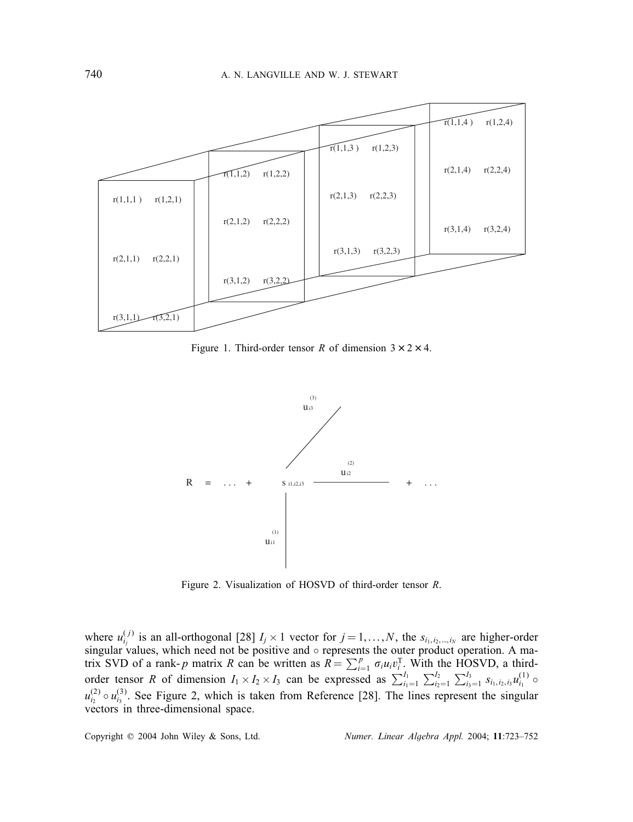

Figure 1. Third-order tensor R of dimension  $3 \times 2 \times 4$ .



Figure 2. Visualization of HOSVD of third-order tensor R.

where  $u_{i_j}^{(j)}$  is an all-orthogonal [28]  $I_j \times 1$  vector for  $j = 1, ..., N$ , the  $s_{i_1, i_2, ..., i_N}$  are higher-order singular values, which need not be positive and  $\circ$  represents the outer product operation. A matrix SVD of a rank-p matrix R can be written as  $R = \sum_{i=1}^{p} \sigma_i u_i v_i^{\text{T}}$ . With the HOSVD, a thirdorder tensor R of dimension  $I_1 \times I_2 \times I_3$  can be expressed as  $\sum_{i_1=1}^{I_1} \sum_{i_2=1}^{I_2} \sum_{i_3=1}^{I_3} s_{i_1,i_2,i_3} u_{i_1}^{(1)}$  $u_{i_2}^{(2)} \circ u_{i_3}^{(3)}$ . See Figure 2, which is taken from Reference [28]. The lines represent the singular vectors in three-dimensional space.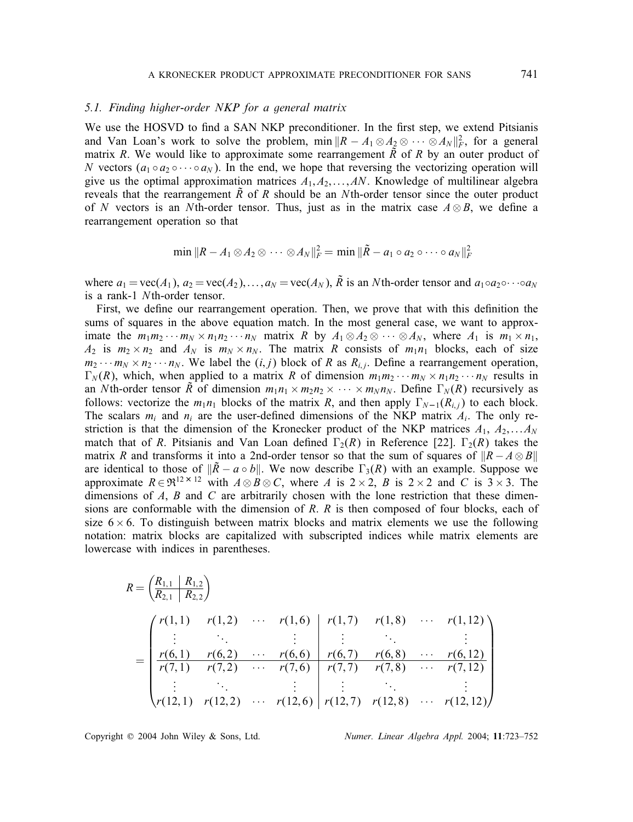## *5.1. Finding higher-order NKP for a general matrix*

We use the HOSVD to find a SAN NKP preconditioner. In the first step, we extend Pitsianis and Van Loan's work to solve the problem,  $\min \|R - A_1 \otimes A_2 \otimes \cdots \otimes A_N\|_F^2$ , for a general matrix R. We would like to approximate some rearrangement  $\tilde{R}$  of R by an outer product of N vectors  $(a_1 \circ a_2 \circ \cdots \circ a_N)$ . In the end, we hope that reversing the vectorizing operation will give us the optimal approximation matrices  $A_1, A_2, \ldots, A_N$ . Knowledge of multilinear algebra reveals that the rearrangement  $\tilde{R}$  of R should be an Nth-order tensor since the outer product of N vectors is an Nth-order tensor. Thus, just as in the matrix case  $A \otimes B$ , we define a rearrangement operation so that

$$
\min ||R - A_1 \otimes A_2 \otimes \cdots \otimes A_N||_F^2 = \min ||\tilde{R} - a_1 \circ a_2 \circ \cdots \circ a_N||_F^2
$$

where  $a_1 = \text{vec}(A_1), a_2 = \text{vec}(A_2),..., a_N = \text{vec}(A_N), \tilde{R}$  is an Nth-order tensor and  $a_1 \circ a_2 \circ \cdots \circ a_N$ is a rank-1 Nth-order tensor.

First, we define our rearrangement operation. Then, we prove that with this definition the sums of squares in the above equation match. In the most general case, we want to approximate the  $m_1m_2\cdots m_N \times n_1n_2\cdots n_N$  matrix R by  $A_1 \otimes A_2 \otimes \cdots \otimes A_N$ , where  $A_1$  is  $m_1 \times n_1$ ,  $A_2$  is  $m_2 \times n_2$  and  $A_N$  is  $m_N \times n_N$ . The matrix R consists of  $m_1n_1$  blocks, each of size  $m_2 \cdots m_N \times n_2 \cdots n_N$ . We label the  $(i, j)$  block of R as  $R_{i,j}$ . Define a rearrangement operation,  $\Gamma_N(R)$ , which, when applied to a matrix R of dimension  $m_1m_2\cdots m_N \times n_1n_2\cdots n_N$  results in an Nth-order tensor  $\tilde{R}$  of dimension  $m_1n_1 \times m_2n_2 \times \cdots \times m_Nn_N$ . Define  $\Gamma_N(R)$  recursively as follows: vectorize the  $m_1n_1$  blocks of the matrix R, and then apply  $\Gamma_{N-1}(R_{i,j})$  to each block. The scalars  $m_i$  and  $n_i$  are the user-defined dimensions of the NKP matrix  $A_i$ . The only restriction is that the dimension of the Kronecker product of the NKP matrices  $A_1, A_2, \ldots, A_N$ match that of R. Pitsianis and Van Loan defined  $\Gamma_2(R)$  in Reference [22].  $\Gamma_2(R)$  takes the matrix R and transforms it into a 2nd-order tensor so that the sum of squares of  $||R - A \otimes B||$ are identical to those of  $\|\tilde{R} - a \circ b\|$ . We now describe  $\Gamma_3(R)$  with an example. Suppose we approximate  $R \in \mathbb{R}^{\{2 \times 12\}}$  with  $A \otimes B \otimes C$ , where A is 2 × 2, B is 2 × 2 and C is 3 × 3. The dimensions of  $A$ ,  $B$  and  $C$  are arbitrarily chosen with the lone restriction that these dimensions are conformable with the dimension of R. R is then composed of four blocks, each of size  $6 \times 6$ . To distinguish between matrix blocks and matrix elements we use the following notation: matrix blocks are capitalized with subscripted indices while matrix elements are lowercase with indices in parentheses.

$$
R = \begin{pmatrix} R_{1,1} & R_{1,2} \\ R_{2,1} & R_{2,2} \end{pmatrix}
$$
  
= 
$$
\begin{pmatrix} r(1,1) & r(1,2) & \cdots & r(1,6) & r(1,7) & r(1,8) & \cdots & r(1,12) \\ \vdots & \ddots & \vdots & \vdots & \ddots & \vdots \\ \frac{r(6,1) & r(6,2) & \cdots & r(6,6) & r(6,7) & r(6,8) & \cdots & r(6,12) \\ \vdots & \ddots & \vdots & \vdots & \ddots & \vdots \\ r(12,1) & r(12,2) & \cdots & r(12,6) & r(12,7) & r(12,8) & \cdots & r(12,12) \end{pmatrix}
$$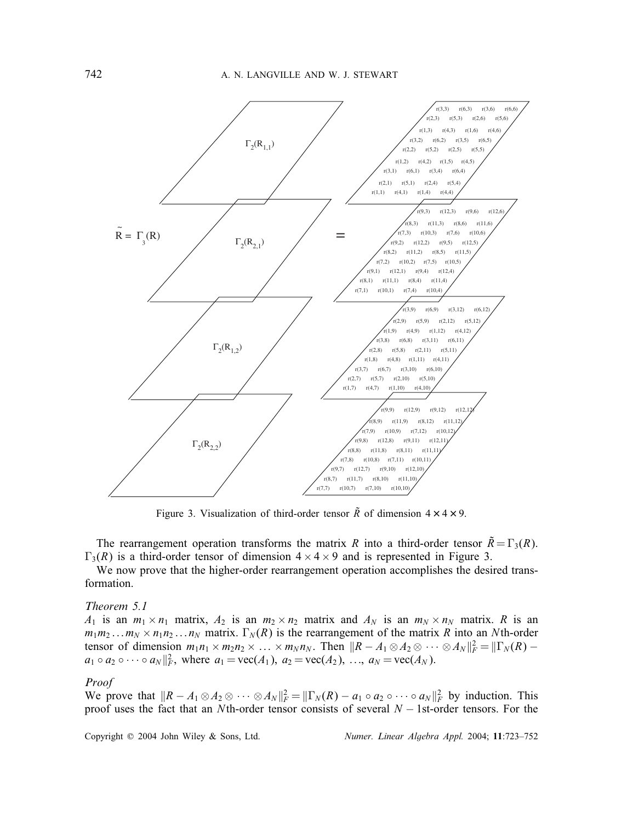

Figure 3. Visualization of third-order tensor  $\tilde{R}$  of dimension  $4 \times 4 \times 9$ .

The rearrangement operation transforms the matrix R into a third-order tensor  $\tilde{R} = \Gamma_3(R)$ .  $\Gamma_3(R)$  is a third-order tensor of dimension  $4 \times 4 \times 9$  and is represented in Figure 3.

We now prove that the higher-order rearrangement operation accomplishes the desired transformation.

#### *Theorem 5.1*

 $A_1$  is an  $m_1 \times n_1$  matrix,  $A_2$  is an  $m_2 \times n_2$  matrix and  $A_N$  is an  $m_N \times n_N$  matrix. R is an  $m_1m_2 \ldots m_N \times n_1n_2 \ldots n_N$  matrix.  $\Gamma_N(R)$  is the rearrangement of the matrix R into an Nth-order tensor of dimension  $m_1 n_1 \times m_2 n_2 \times ... \times m_N n_N$ . Then  $||R - A_1 \otimes A_2 \otimes ... \otimes A_N||_F^2 = ||\Gamma_N(R) - \Gamma_N(R)||_F^2$  $a_1 \circ a_2 \circ \cdots \circ a_N ||_F^2$ , where  $a_1 = \text{vec}(A_1)$ ,  $a_2 = \text{vec}(A_2)$ , ...,  $a_N = \text{vec}(A_N)$ .

#### *Proof*

We prove that  $||R - A_1 \otimes A_2 \otimes \cdots \otimes A_N||_F^2 = ||\Gamma_N(R) - a_1 \circ a_2 \circ \cdots \circ a_N||_F^2$  by induction. This proof uses the fact that an Nth-order tensor consists of several  $N - 1$ st-order tensors. For the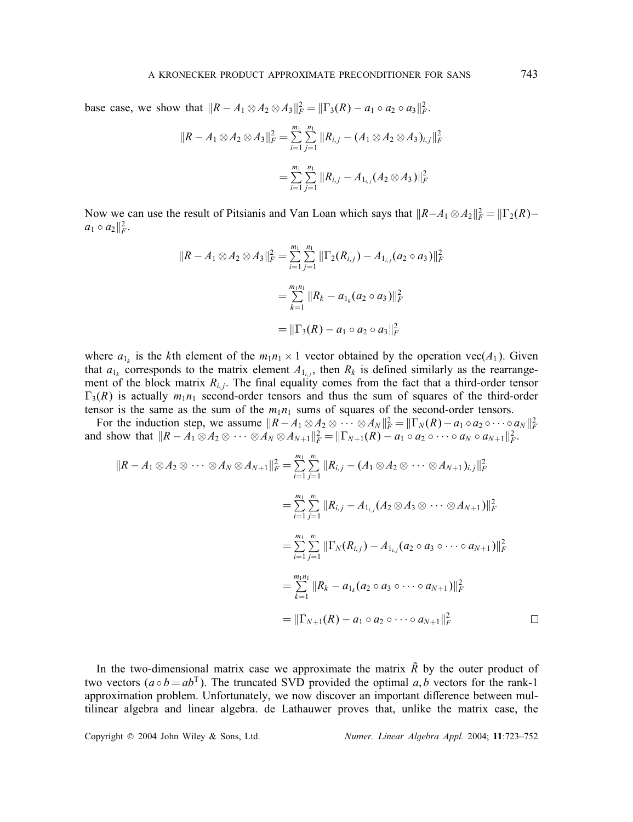base case, we show that  $||R - A_1 \otimes A_2 \otimes A_3||_F^2 = ||\Gamma_3(R) - a_1 \circ a_2 \circ a_3||_F^2$ .

$$
||R - A_1 \otimes A_2 \otimes A_3||_F^2 = \sum_{i=1}^{m_1} \sum_{j=1}^{n_1} ||R_{i,j} - (A_1 \otimes A_2 \otimes A_3)_{i,j}||_F^2
$$
  
= 
$$
\sum_{i=1}^{m_1} \sum_{j=1}^{n_1} ||R_{i,j} - A_{1_{i,j}}(A_2 \otimes A_3)||_F^2
$$

Now we can use the result of Pitsianis and Van Loan which says that  $||R-A_1 \otimes A_2||_F^2 = ||\Gamma_2(R)$  $a_1 \circ a_2 \|_F^2$ .

$$
||R - A_1 \otimes A_2 \otimes A_3||_F^2 = \sum_{i=1}^{m_1} \sum_{j=1}^{n_1} ||\Gamma_2(R_{i,j}) - A_{1_{i,j}}(a_2 \circ a_3)||_F^2
$$
  
= 
$$
\sum_{k=1}^{m_1 n_1} ||R_k - a_{1_k}(a_2 \circ a_3)||_F^2
$$
  
= 
$$
||\Gamma_3(R) - a_1 \circ a_2 \circ a_3||_F^2
$$

where  $a_{1k}$  is the kth element of the  $m_1n_1 \times 1$  vector obtained by the operation vec( $A_1$ ). Given that  $a_{1_k}$  corresponds to the matrix element  $A_{1_{i,j}}$ , then  $R_k$  is defined similarly as the rearrangement of the block matrix  $R_{i,j}$ . The final equality comes from the fact that a third-order tensor  $\Gamma_3(R)$  is actually  $m_1n_1$  second-order tensors and thus the sum of squares of the third-order tensor is the same as the sum of the  $m_1n_1$  sums of squares of the second-order tensors.

For the induction step, we assume  $||R - A_1 \otimes A_2 \otimes \cdots \otimes A_N||_F^2 = ||\Gamma_N(R) - a_1 \circ a_2 \circ \cdots \circ a_N||_F^2$ <br>and show that  $||R - A_1 \otimes A_2 \otimes \cdots \otimes A_N \otimes A_{N+1}||_F^2 = ||\Gamma_{N+1}(R) - a_1 \circ a_2 \circ \cdots \circ a_N \circ a_{N+1}||_F^2$ .

$$
||R - A_1 \otimes A_2 \otimes \cdots \otimes A_N \otimes A_{N+1}||_F^2 = \sum_{i=1}^{m_1} \sum_{j=1}^{n_1} ||R_{i,j} - (A_1 \otimes A_2 \otimes \cdots \otimes A_{N+1})_{i,j}||_F^2
$$
  
\n
$$
= \sum_{i=1}^{m_1} \sum_{j=1}^{n_1} ||R_{i,j} - A_{1_{i,j}}(A_2 \otimes A_3 \otimes \cdots \otimes A_{N+1})||_F^2
$$
  
\n
$$
= \sum_{i=1}^{m_1} \sum_{j=1}^{n_1} ||\Gamma_N(R_{i,j}) - A_{1_{i,j}}(a_2 \circ a_3 \circ \cdots \circ a_{N+1})||_F^2
$$
  
\n
$$
= \sum_{k=1}^{m_1 n_1} ||R_k - a_{1_k}(a_2 \circ a_3 \circ \cdots \circ a_{N+1})||_F^2
$$
  
\n
$$
= ||\Gamma_{N+1}(R) - a_1 \circ a_2 \circ \cdots \circ a_{N+1}||_F^2
$$

In the two-dimensional matrix case we approximate the matrix  $\tilde{R}$  by the outer product of two vectors ( $a \circ b = ab^T$ ). The truncated SVD provided the optimal a, b vectors for the rank-1 approximation problem. Unfortunately, we now discover an important difference between multilinear algebra and linear algebra. de Lathauwer proves that, unlike the matrix case, the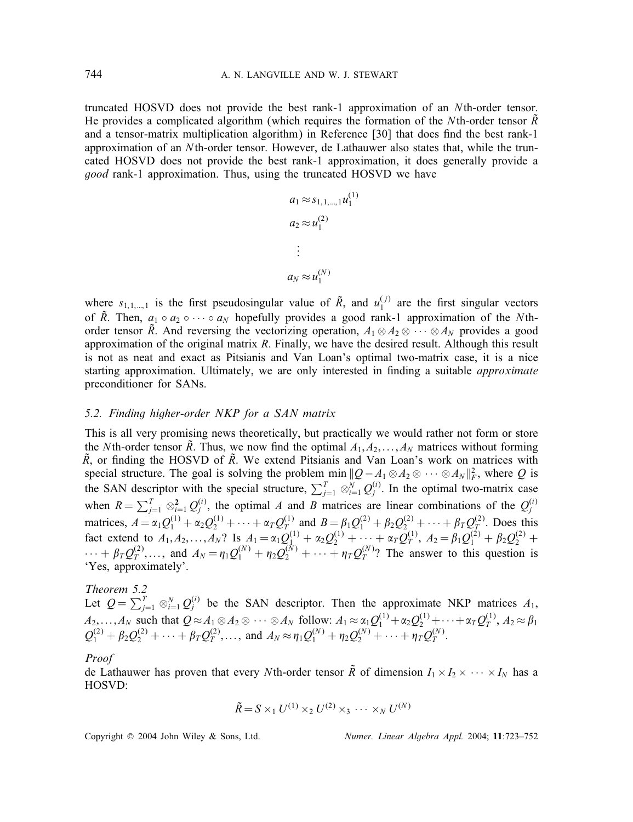truncated HOSVD does not provide the best rank-1 approximation of an Nth-order tensor. He provides a complicated algorithm (which requires the formation of the Nth-order tensor  $\tilde{R}$ and a tensor-matrix multiplication algorithm) in Reference [30] that does find the best rank-1 approximation of an Nth-order tensor. However, de Lathauwer also states that, while the truncated HOSVD does not provide the best rank-1 approximation, it does generally provide a *good* rank-1 approximation. Thus, using the truncated HOSVD we have

$$
a_1 \approx s_{1,1,\dots,1} u_1^{(1)}
$$
  
\n
$$
a_2 \approx u_1^{(2)}
$$
  
\n:  
\n:  
\n
$$
a_N \approx u_1^{(N)}
$$

where  $s_{1,1,\dots,1}$  is the first pseudosingular value of  $\tilde{R}$ , and  $u_1^{(j)}$  are the first singular vectors of  $\tilde{R}$ . Then,  $a_1 \circ a_2 \circ \cdots \circ a_N$  hopefully provides a good rank-1 approximation of the Nthorder tensor  $\tilde{R}$ . And reversing the vectorizing operation,  $A_1 \otimes A_2 \otimes \cdots \otimes A_N$  provides a good approximation of the original matrix R. Finally, we have the desired result. Although this result is not as neat and exact as Pitsianis and Van Loan's optimal two-matrix case, it is a nice starting approximation. Ultimately, we are only interested in finding a suitable *approximate* preconditioner for SANs.

#### *5.2. Finding higher-order NKP for a SAN matrix*

This is all very promising news theoretically, but practically we would rather not form or store the Nth-order tensor  $\tilde{R}$ . Thus, we now find the optimal  $A_1, A_2, \ldots, A_N$  matrices without forming  $\tilde{R}$ , or finding the HOSVD of  $\tilde{R}$ . We extend Pitsianis and Van Loan's work on matrices with special structure. The goal is solving the problem min  $||Q - A_1 \otimes A_2 \otimes \cdots \otimes A_N||_F^2$ , where Q is the SAN descriptor with the special structure,  $\sum_{j=1}^{T} \otimes_{i=1}^{N} Q_j^{(i)}$ . In the optimal two-matrix case when  $R = \sum_{j=1}^{T} \otimes_{i=1}^{2} Q_j^{(i)}$ , the optimal A and B matrices are linear combinations of the  $Q_j^{(i)}$ matrices,  $A = \alpha_1 Q_1^{(1)} + \alpha_2 Q_2^{(1)} + \cdots + \alpha_T Q_T^{(1)}$  and  $B = \beta_1 Q_1^{(2)} + \beta_2 Q_2^{(2)} + \cdots + \beta_T Q_T^{(2)}$ . Does this fact extend to  $A_1, A_2,..., A_N$ ? Is  $A_1 = \alpha_1 Q_1^{(1)} + \alpha_2 Q_2^{(1)} + \cdots + \alpha_T Q_T^{(1)}$ ,  $A_2 = \beta_1 Q_1^{(2)} + \beta_2 Q_2^{(2)} +$  $\cdots + \beta_T Q_T^{(2)}, \ldots$ , and  $A_N = \eta_1 Q_1^{(N)} + \eta_2 Q_2^{(N)} + \cdots + \eta_T Q_T^{(N)}$ ? The answer to this question is 'Yes, approximately'.

*Theorem 5.2* Let  $Q = \sum_{j=1}^{T} \otimes_{i=1}^{N} Q_j^{(i)}$  be the SAN descriptor. Then the approximate NKP matrices  $A_1$ ,  $A_2,\ldots,A_N$  such that  $Q \approx A_1 \otimes A_2 \otimes \cdots \otimes A_N$  follow:  $A_1 \approx \alpha_1 Q_1^{(1)} + \alpha_2 Q_2^{(1)} + \cdots + \alpha_T Q_T^{(1)}$ ,  $A_2 \approx \beta_1$  $Q_1^{(2)} + \beta_2 Q_2^{(2)} + \cdots + \beta_T Q_T^{(2)}, \dots$ , and  $A_N \approx \eta_1 Q_1^{(N)} + \eta_2 Q_2^{(N)} + \cdots + \eta_T Q_T^{(N)}$ .

## *Proof*

de Lathauwer has proven that every Nth-order tensor  $\tilde{R}$  of dimension  $I_1 \times I_2 \times \cdots \times I_N$  has a HOSVD:

$$
\tilde{R} = S \times_1 U^{(1)} \times_2 U^{(2)} \times_3 \cdots \times_N U^{(N)}
$$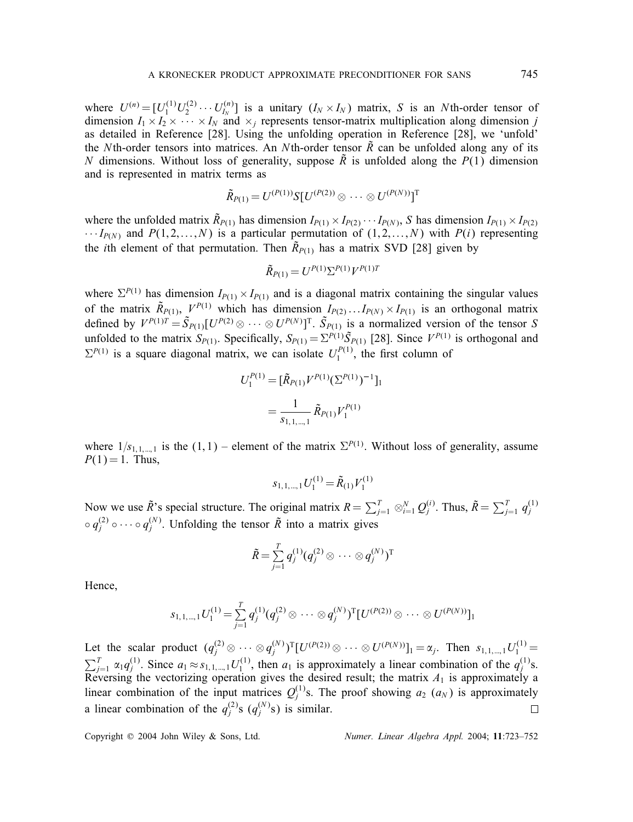where  $U^{(n)} = [U_1^{(1)}U_2^{(2)} \cdots U_{l_N}^{(n)}]$  is a unitary  $(I_N \times I_N)$  matrix, S is an Nth-order tensor of dimension  $I_1 \times I_2 \times \cdots \times I_N$  and  $\times_j$  represents tensor-matrix multiplication along dimension j as detailed in Reference [28]. Using the unfolding operation in Reference [28], we 'unfold' the Nth-order tensors into matrices. An Nth-order tensor  $\tilde{R}$  can be unfolded along any of its N dimensions. Without loss of generality, suppose  $\tilde{R}$  is unfolded along the  $P(1)$  dimension and is represented in matrix terms as

$$
\tilde{R}_{P(1)} = U^{(P(1))} S[U^{(P(2))} \otimes \cdots \otimes U^{(P(N))}]^{\mathrm{T}}
$$

where the unfolded matrix  $R_{P(1)}$  has dimension  $I_{P(1)} \times I_{P(2)} \cdots I_{P(N)}$ , S has dimension  $I_{P(1)} \times I_{P(2)}$  $\cdots I_{P(N)}$  and  $P(1, 2, \ldots, N)$  is a particular permutation of  $(1, 2, \ldots, N)$  with  $P(i)$  representing the *i*th element of that permutation. Then  $\tilde{R}_{P(1)}$  has a matrix SVD [28] given by

$$
\tilde{R}_{P(1)} = U^{P(1)} \Sigma^{P(1)} V^{P(1)T}
$$

where  $\Sigma^{P(1)}$  has dimension  $I_{P(1)} \times I_{P(1)}$  and is a diagonal matrix containing the singular values of the matrix  $\tilde{R}_{P(1)}$ ,  $V^{P(1)}$  which has dimension  $I_{P(2)} \dots I_{P(N)} \times I_{P(1)}$  is an orthogonal matrix defined by  $V^{(1)T} = \tilde{S}_{P(1)}[U^{P(2)} \otimes \cdots \otimes U^{P(N)}]^T$ .  $\tilde{S}_{P(1)}$  is a normalized version of the tensor S unfolded to the matrix  $S_{P(1)}$ . Specifically,  $S_{P(1)} = \sum_{i}^{P(1)} \tilde{S}_{P(1)}$  [28]. Since  $V^{P(1)}$  is orthogonal and  $\Sigma^{P(1)}$  is a square diagonal matrix, we can isolate  $U_1^{P(1)}$ , the first column of

$$
U_1^{P(1)} = [\tilde{R}_{P(1)} V^{P(1)} (\Sigma^{P(1)})^{-1}]_1
$$
  
= 
$$
\frac{1}{s_{1,1,\dots,1}} \tilde{R}_{P(1)} V_1^{P(1)}
$$

where  $1/s_{1,1,\dots,1}$  is the  $(1, 1)$  – element of the matrix  $\Sigma^{P(1)}$ . Without loss of generality, assume  $P(1) = 1$ . Thus,

$$
s_{1,1,\dots,1}U_1^{(1)} = \tilde{R}_{(1)}V_1^{(1)}
$$

Now we use  $\tilde{R}$ 's special structure. The original matrix  $R = \sum_{j=1}^{T} \otimes_{i=1}^{N} Q_j^{(i)}$ . Thus,  $\tilde{R} = \sum_{j=1}^{T} q_j^{(1)}$  $\circ q_j^{(2)} \circ \cdots \circ q_j^{(N)}$ . Unfolding the tensor  $\tilde{R}$  into a matrix gives

$$
\tilde{R} = \sum_{j=1}^T q_j^{(1)} (q_j^{(2)} \otimes \cdots \otimes q_j^{(N)})^{\mathrm{T}}
$$

Hence,

$$
s_{1,1,\dots,1}U_1^{(1)} = \sum_{j=1}^T q_j^{(1)}(q_j^{(2)} \otimes \cdots \otimes q_j^{(N)})^{\mathrm{T}} [U^{(P(2))} \otimes \cdots \otimes U^{(P(N))}]_1
$$

Let the scalar product  $(q_j^{(2)} \otimes \cdots \otimes q_j^{(N)})^T [U^{(P(2))} \otimes \cdots \otimes U^{(P(N))}]_1 = \alpha_j$ . Then  $s_{1,1,\dots,1} U_1^{(1)} =$  $\sum_{j=1}^T \alpha_1 q_j^{(1)}$ . Since  $a_1 \approx s_{1,1,\dots,1} U_1^{(1)}$ , then  $a_1$  is approximately a linear combination of the  $q_j^{(1)}$ s. Reversing the vectorizing operation gives the desired result; the matrix  $A_1$  is approximately a linear combination of the input matrices  $Q_j^{(1)}$ s. The proof showing  $a_2$  ( $a_N$ ) is approximately a linear combination of the  $q_j^{(2)}$ s  $(q_j^{(N)}s)$  is similar.  $\Box$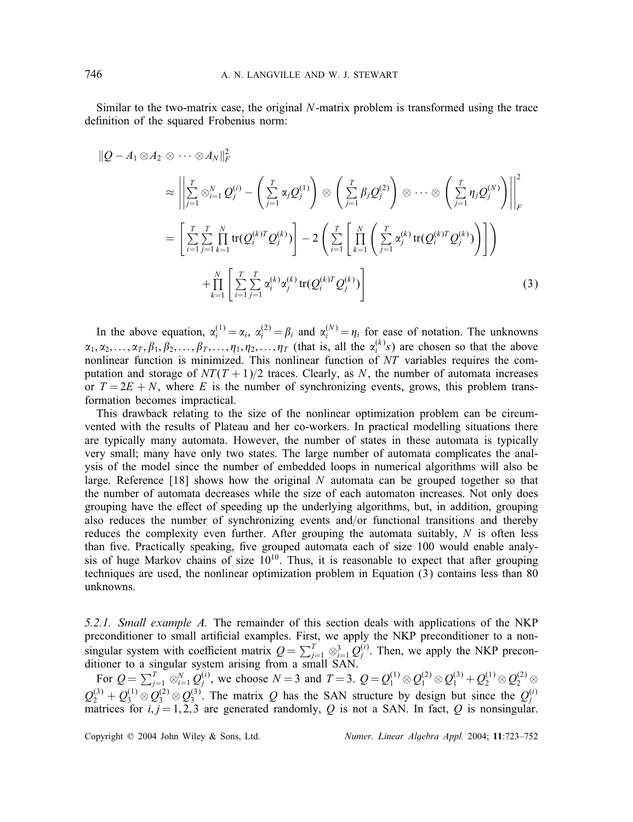Similar to the two-matrix case, the original N-matrix problem is transformed using the trace definition of the squared Frobenius norm:

$$
\|Q - A_1 \otimes A_2 \otimes \cdots \otimes A_N\|_F^2
$$
\n
$$
\approx \left\| \sum_{j=1}^T \otimes_{i=1}^N Q_j^{(i)} - \left( \sum_{j=1}^T \alpha_j Q_j^{(1)} \right) \otimes \left( \sum_{j=1}^T \beta_j Q_j^{(2)} \right) \otimes \cdots \otimes \left( \sum_{j=1}^T \eta_j Q_j^{(N)} \right) \right\|_F^2
$$
\n
$$
= \left[ \sum_{i=1}^T \sum_{j=1}^T \prod_{k=1}^N \text{tr}(Q_i^{(k)T} Q_j^{(k)}) \right] - 2 \left( \sum_{i=1}^T \left[ \prod_{k=1}^N \left( \sum_{j=1}^T \alpha_j^{(k)} \text{tr}(Q_i^{(k)T} Q_j^{(k)}) \right) \right] \right)
$$
\n
$$
+ \prod_{k=1}^N \left[ \sum_{i=1}^T \sum_{j=1}^T \alpha_i^{(k)} \alpha_j^{(k)} \text{tr}(Q_i^{(k)T} Q_j^{(k)}) \right]
$$
\n(3)

In the above equation,  $\alpha_i^{(1)} = \alpha_i$ ,  $\alpha_i^{(2)} = \beta_i$  and  $\alpha_i^{(N)} = \eta_i$  for ease of notation. The unknowns  $\alpha_1, \alpha_2, \ldots, \alpha_T, \beta_1, \beta_2, \ldots, \beta_T, \ldots, \eta_1, \eta_2, \ldots, \eta_T$  (that is, all the  $\alpha_i^{(k)}s$ ) are chosen so that the above nonlinear function is minimized. This nonlinear function of NT variables requires the computation and storage of  $NT(T + 1)/2$  traces. Clearly, as N, the number of automata increases or  $T = 2E + N$ , where E is the number of synchronizing events, grows, this problem transformation becomes impractical.

This drawback relating to the size of the nonlinear optimization problem can be circumvented with the results of Plateau and her co-workers. In practical modelling situations there are typically many automata. However, the number of states in these automata is typically very small; many have only two states. The large number of automata complicates the analysis of the model since the number of embedded loops in numerical algorithms will also be large. Reference [18] shows how the original  $N$  automata can be grouped together so that the number of automata decreases while the size of each automaton increases. Not only does grouping have the effect of speeding up the underlying algorithms, but, in addition, grouping also reduces the number of synchronizing events and/or functional transitions and thereby reduces the complexity even further. After grouping the automata suitably,  $N$  is often less than five. Practically speaking, five grouped automata each of size 100 would enable analysis of huge Markov chains of size  $10^{10}$ . Thus, it is reasonable to expect that after grouping techniques are used, the nonlinear optimization problem in Equation (3) contains less than 80 unknowns.

*5.2.1. Small example A.* The remainder of this section deals with applications of the NKP preconditioner to small artificial examples. First, we apply the NKP preconditioner to a nonsingular system with coefficient matrix  $Q = \sum_{j=1}^{T} \otimes_{i=1}^{3} Q_j^{(i)}$ . Then, we apply the NKP preconditioner to a singular system arising from a small SAN.

For  $Q = \sum_{j=1}^{T} \otimes_{i=1}^{N} Q_j^{(i)}$ , we choose  $N = 3$  and  $T = 3$ .  $Q = Q_1^{(1)} \otimes Q_1^{(2)} \otimes Q_1^{(3)} + Q_2^{(1)} \otimes Q_2^{(2)} \otimes$  $Q_2^{(3)} + Q_3^{(1)} \otimes Q_3^{(2)} \otimes Q_3^{(3)}$ . The matrix Q has the SAN structure by design but since the  $Q_j^{(i)}$  matrices for  $i, j = 1, 2, 3$  are generated randomly, Q is not a SAN. In fact, Q is nonsingular.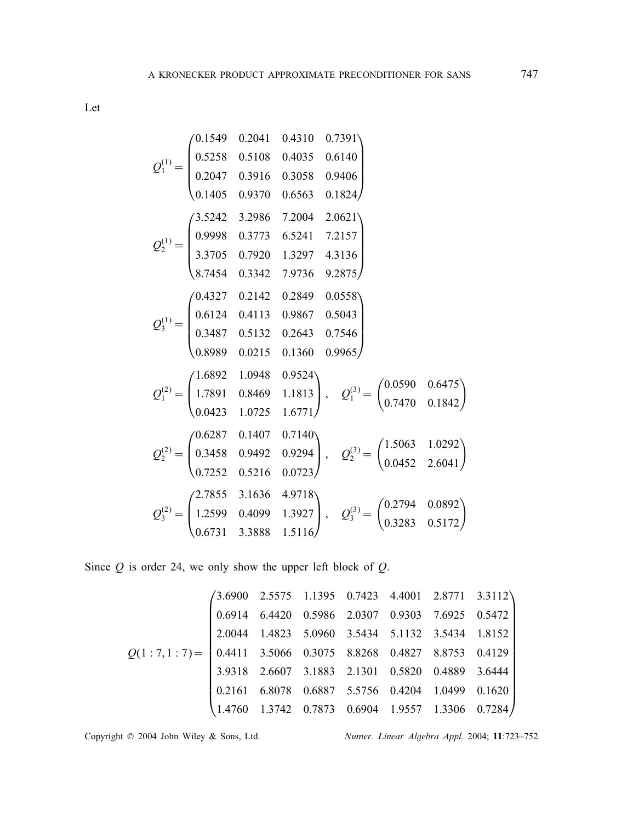Let

$$
Q_1^{(1)} = \begin{pmatrix} 0.1549 & 0.2041 & 0.4310 & 0.7391 \\ 0.5258 & 0.5108 & 0.4035 & 0.6140 \\ 0.2047 & 0.3916 & 0.3058 & 0.9406 \\ 0.1405 & 0.9370 & 0.6563 & 0.1824 \end{pmatrix}
$$
  
\n
$$
Q_2^{(1)} = \begin{pmatrix} 3.5242 & 3.2986 & 7.2004 & 2.0621 \\ 0.9998 & 0.3773 & 6.5241 & 7.2157 \\ 3.3705 & 0.7920 & 1.3297 & 4.3136 \\ 8.7454 & 0.3342 & 7.9736 & 9.2875 \end{pmatrix}
$$
  
\n
$$
Q_3^{(1)} = \begin{pmatrix} 0.4327 & 0.2142 & 0.2849 & 0.0558 \\ 0.6124 & 0.4113 & 0.9867 & 0.5043 \\ 0.3487 & 0.5132 & 0.2643 & 0.7546 \\ 0.8989 & 0.0215 & 0.1360 & 0.9965 \end{pmatrix}
$$
  
\n
$$
Q_1^{(2)} = \begin{pmatrix} 1.6892 & 1.0948 & 0.9524 \\ 1.7891 & 0.8469 & 1.1813 \\ 0.0423 & 1.0725 & 1.6771 \end{pmatrix}, \quad Q_1^{(3)} = \begin{pmatrix} 0.0590 & 0.6475 \\ 0.7470 & 0.1842 \end{pmatrix}
$$
  
\n
$$
Q_2^{(2)} = \begin{pmatrix} 0.6287 & 0.1407 & 0.7140 \\ 0.3458 & 0.9492 & 0.9294 \\ 0.7252 & 0.5216 & 0.0723 \end{pmatrix}, \quad Q_2^{(3)} = \begin{pmatrix} 1.5063 & 1.0292 \\ 0.0452
$$

Since  $Q$  is order 24, we only show the upper left block of  $Q$ .

$$
Q(1:7,1:7) = \begin{pmatrix} 3.6900 & 2.5575 & 1.1395 & 0.7423 & 4.4001 & 2.8771 & 3.3112 \\ 0.6914 & 6.4420 & 0.5986 & 2.0307 & 0.9303 & 7.6925 & 0.5472 \\ 2.0044 & 1.4823 & 5.0960 & 3.5434 & 5.1132 & 3.5434 & 1.8152 \\ 0.4411 & 3.5066 & 0.3075 & 8.8268 & 0.4827 & 8.8753 & 0.4129 \\ 3.9318 & 2.6607 & 3.1883 & 2.1301 & 0.5820 & 0.4889 & 3.6444 \\ 0.2161 & 6.8078 & 0.6887 & 5.5756 & 0.4204 & 1.0499 & 0.1620 \\ 1.4760 & 1.3742 & 0.7873 & 0.6904 & 1.9557 & 1.3306 & 0.7284 \end{pmatrix}
$$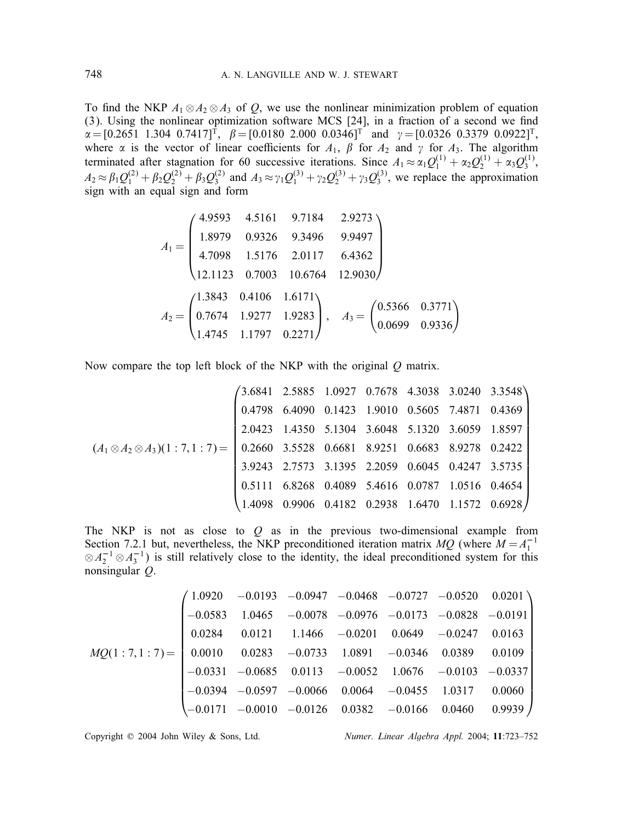To find the NKP  $A_1 \otimes A_2 \otimes A_3$  of Q, we use the nonlinear minimization problem of equation  $(3)$ . Using the nonlinear optimization software MCS [24], in a fraction of a second we find  $\alpha = [0.2651 \ 1.304 \ 0.7417]^\text{T}$ ,  $\beta = [0.0180 \ 2.000 \ 0.0346]^\text{T}$  and  $\gamma = [0.0326 \ 0.3379 \ 0.0922]^\text{T}$ , where  $\alpha$  is the vector of linear coefficients for  $A_1$ ,  $\beta$  for  $A_2$  and  $\gamma$  for  $A_3$ . The algorithm terminated after stagnation for 60 successive iterations. Since  $A_1 \approx \alpha_1 Q_1^{(1)} + \alpha_2 Q_2^{(1)} + \alpha_3 Q_3^{(1)}$ ,  $A_2 \approx \beta_1 Q_1^{(2)} + \beta_2 Q_2^{(2)} + \beta_3 Q_3^{(2)}$  and  $A_3 \approx \gamma_1 Q_1^{(3)} + \gamma_2 Q_2^{(3)} + \gamma_3 Q_3^{(3)}$ , we replace the approximation sign with an equal sign and form

$$
A_1 = \begin{pmatrix} 4.9593 & 4.5161 & 9.7184 & 2.9273 \\ 1.8979 & 0.9326 & 9.3496 & 9.9497 \\ 4.7098 & 1.5176 & 2.0117 & 6.4362 \\ 12.1123 & 0.7003 & 10.6764 & 12.9030 \end{pmatrix}
$$

$$
A_2 = \begin{pmatrix} 1.3843 & 0.4106 & 1.6171 \\ 0.7674 & 1.9277 & 1.9283 \\ 1.4745 & 1.1797 & 0.2271 \end{pmatrix}, \quad A_3 = \begin{pmatrix} 0.5366 & 0.3771 \\ 0.0699 & 0.9336 \end{pmatrix}
$$

Now compare the top left block of the NKP with the original  $Q$  matrix.

$$
(A_1 \otimes A_2 \otimes A_3)(1:7,1:7) = \begin{pmatrix} 3.6841 & 2.5885 & 1.0927 & 0.7678 & 4.3038 & 3.0240 & 3.3548 \\ 0.4798 & 6.4090 & 0.1423 & 1.9010 & 0.5605 & 7.4871 & 0.4369 \\ 2.0423 & 1.4350 & 5.1304 & 3.6048 & 5.1320 & 3.6059 & 1.8597 \\ 0.2660 & 3.5528 & 0.6681 & 8.9251 & 0.6683 & 8.9278 & 0.2422 \\ 3.9243 & 2.7573 & 3.1395 & 2.2059 & 0.6045 & 0.4247 & 3.5735 \\ 0.5111 & 6.8268 & 0.4089 & 5.4616 & 0.0787 & 1.0516 & 0.4654 \\ 1.4098 & 0.9906 & 0.4182 & 0.2938 & 1.6470 & 1.1572 & 0.6928 \end{pmatrix}
$$

The NKP is not as close to  $Q$  as in the previous two-dimensional example from Section 7.2.1 but, nevertheless, the NKP preconditioned iteration matrix MQ (where  $M = A_1^{-1} \otimes A_2^{-1} \otimes A_3^{-1}$ ) is still relatively close to the identity, the ideal preconditioned system for this nonsingular Q.

$$
MQ(1:7,1:7) = \begin{pmatrix} 1.0920 & -0.0193 & -0.0947 & -0.0468 & -0.0727 & -0.0520 & 0.0201 \\ -0.0583 & 1.0465 & -0.0078 & -0.0976 & -0.0173 & -0.0828 & -0.0191 \\ 0.0284 & 0.0121 & 1.1466 & -0.0201 & 0.0649 & -0.0247 & 0.0163 \\ 0.0010 & 0.0283 & -0.0733 & 1.0891 & -0.0346 & 0.0389 & 0.0109 \\ -0.0331 & -0.0685 & 0.0113 & -0.0052 & 1.0676 & -0.0103 & -0.0337 \\ -0.0394 & -0.0597 & -0.0066 & 0.0064 & -0.0455 & 1.0317 & 0.0060 \\ -0.0171 & -0.0010 & -0.0126 & 0.0382 & -0.0166 & 0.0460 & 0.9939 \end{pmatrix}
$$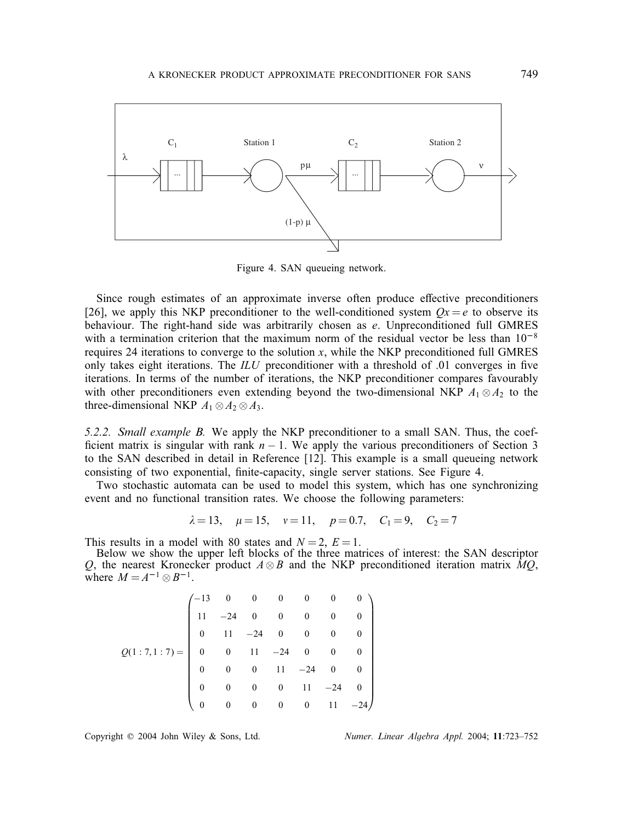

Figure 4. SAN queueing network.

Since rough estimates of an approximate inverse often produce effective preconditioners [26], we apply this NKP preconditioner to the well-conditioned system  $Qx = e$  to observe its behaviour. The right-hand side was arbitrarily chosen as e. Unpreconditioned full GMRES with a termination criterion that the maximum norm of the residual vector be less than  $10^{-8}$ requires 24 iterations to converge to the solution  $x$ , while the NKP preconditioned full GMRES only takes eight iterations. The  $ILU$  preconditioner with a threshold of .01 converges in five iterations. In terms of the number of iterations, the NKP preconditioner compares favourably with other preconditioners even extending beyond the two-dimensional NKP  $A_1 \otimes A_2$  to the three-dimensional NKP  $A_1 \otimes A_2 \otimes A_3$ .

*5.2.2. Small example B.* We apply the NKP preconditioner to a small SAN. Thus, the coef ficient matrix is singular with rank  $n - 1$ . We apply the various preconditioners of Section 3 to the SAN described in detail in Reference [12]. This example is a small queueing network consisting of two exponential, finite-capacity, single server stations. See Figure 4.

Two stochastic automata can be used to model this system, which has one synchronizing event and no functional transition rates. We choose the following parameters:

$$
\lambda = 13, \quad \mu = 15, \quad \nu = 11, \quad p = 0.7, \quad C_1 = 9, \quad C_2 = 7
$$

This results in a model with 80 states and  $N = 2$ ,  $E = 1$ .

Below we show the upper left blocks of the three matrices of interest: the SAN descriptor Q, the nearest Kronecker product  $A \otimes B$  and the NKP preconditioned iteration matrix  $\dot{M}Q$ , where  $M = A^{-1} \otimes B^{-1}$ .

$$
Q(1:7,1:7) = \begin{pmatrix} -13 & 0 & 0 & 0 & 0 & 0 & 0 \\ 11 & -24 & 0 & 0 & 0 & 0 & 0 \\ 0 & 11 & -24 & 0 & 0 & 0 & 0 \\ 0 & 0 & 11 & -24 & 0 & 0 & 0 \\ 0 & 0 & 0 & 11 & -24 & 0 & 0 \\ 0 & 0 & 0 & 0 & 11 & -24 & 0 \\ 0 & 0 & 0 & 0 & 0 & 11 & -24 \end{pmatrix}
$$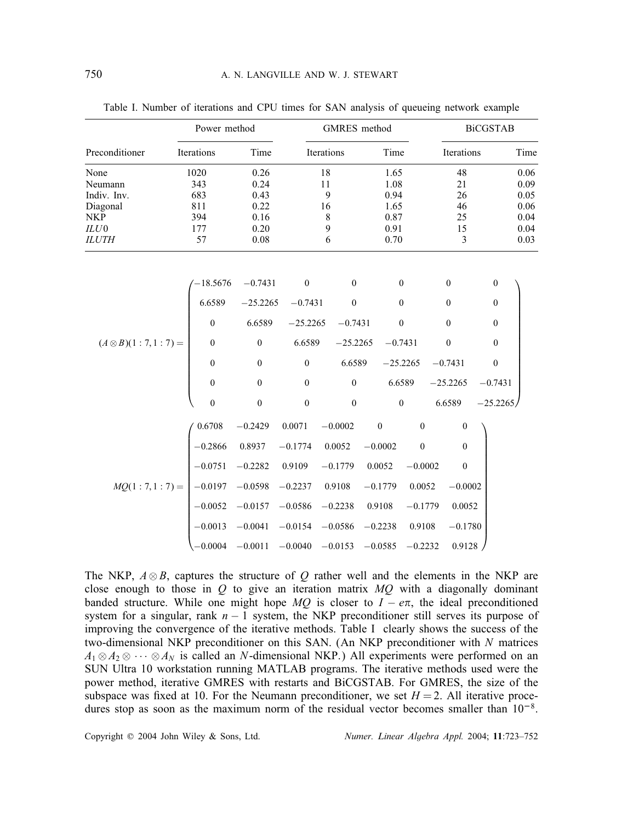|                            | Power method     | GMRES method     |                  |                               |                  | <b>BiCGSTAB</b>  |                  |                  |              |  |
|----------------------------|------------------|------------------|------------------|-------------------------------|------------------|------------------|------------------|------------------|--------------|--|
| Preconditioner             | Iterations       | Time             | Iterations<br>18 |                               | Time             |                  | Iterations<br>48 |                  | Time<br>0.06 |  |
| None                       | 1020             | 0.26             |                  |                               | 1.65             |                  |                  |                  |              |  |
| Neumann                    | 343              | 0.24             |                  | 11                            | 1.08             |                  | 21               |                  | 0.09         |  |
| Indiv. Inv.                | 683              | 0.43             |                  | 9                             | 0.94             |                  | 26               |                  | 0.05         |  |
| Diagonal                   | 811              | 0.22             |                  | 16                            | 1.65             |                  | 46               |                  | 0.06         |  |
| <b>NKP</b>                 | 394              | 0.16             |                  | 8                             | 0.87             |                  | 25               |                  | 0.04         |  |
| ILU0                       | 177              | 0.20             | 9                |                               | 0.91             |                  | 15               |                  | 0.04         |  |
| <b>ILUTH</b>               | 57               | 0.08             |                  | 6                             | 0.70             |                  | 3                |                  | 0.03         |  |
|                            | $-18.5676$       | $-0.7431$        | $\boldsymbol{0}$ | $\mathbf{0}$                  |                  | $\mathbf{0}$     | $\boldsymbol{0}$ | $\boldsymbol{0}$ |              |  |
|                            | 6.6589           | $-25.2265$       | $-0.7431$        | $\boldsymbol{0}$              |                  | $\mathbf{0}$     | $\boldsymbol{0}$ | $\boldsymbol{0}$ |              |  |
|                            | $\boldsymbol{0}$ | 6.6589           | $-25.2265$       | $-0.7431$                     |                  | $\boldsymbol{0}$ | $\boldsymbol{0}$ | $\boldsymbol{0}$ |              |  |
| $(A \otimes B)(1:7,1:7) =$ | $\mathbf{0}$     | $\boldsymbol{0}$ | 6.6589           | $-25.2265$                    |                  | $-0.7431$        | $\boldsymbol{0}$ | $\boldsymbol{0}$ |              |  |
|                            | $\boldsymbol{0}$ | $\mathbf{0}$     | $\mathbf{0}$     | 6.6589                        |                  | $-25.2265$       | $-0.7431$        | $\boldsymbol{0}$ |              |  |
|                            | $\boldsymbol{0}$ | $\mathbf{0}$     | $\mathbf{0}$     | $\mathbf{0}$                  |                  | 6.6589           | $-25.2265$       | $-0.7431$        |              |  |
|                            | $\boldsymbol{0}$ | $\mathbf{0}$     | $\mathbf{0}$     | $\overline{0}$                |                  | $\mathbf{0}$     | 6.6589           | $-25.2265$       |              |  |
|                            | 0.6708           | $-0.2429$        | 0.0071           | $-0.0002$                     | $\boldsymbol{0}$ | $\mathbf{0}$     | $\boldsymbol{0}$ |                  |              |  |
|                            | $-0.2866$        | 0.8937           | $-0.1774$        | 0.0052                        | $-0.0002$        | $\boldsymbol{0}$ | $\mathbf{0}$     |                  |              |  |
|                            | $-0.0751$        | $-0.2282$        | 0.9109           | $-0.1779$                     | 0.0052           | $-0.0002$        | $\mathbf{0}$     |                  |              |  |
| $MQ(1:7,1:7) =$            | $-0.0197$        | $-0.0598$        | $-0.2237$        | 0.9108                        | $-0.1779$        | 0.0052           | $-0.0002$        |                  |              |  |
|                            | $-0.0052$        | $-0.0157$        | $-0.0586$        | $-0.2238$                     | 0.9108           | $-0.1779$        | 0.0052           |                  |              |  |
|                            | $-0.0013$        | $-0.0041$        | $-0.0154$        | $-0.0586$                     | $-0.2238$        | 0.9108           | $-0.1780$        |                  |              |  |
|                            | $-0.0004$        | $-0.0011$        |                  | $-0.0040$ $-0.0153$ $-0.0585$ |                  | $-0.2232$        | 0.9128           |                  |              |  |

Table I. Number of iterations and CPU times for SAN analysis of queueing network example

The NKP,  $A \otimes B$ , captures the structure of Q rather well and the elements in the NKP are close enough to those in  $Q$  to give an iteration matrix  $MQ$  with a diagonally dominant banded structure. While one might hope MQ is closer to  $I - e\pi$ , the ideal preconditioned system for a singular, rank  $n - 1$  system, the NKP preconditioner still serves its purpose of improving the convergence of the iterative methods. Table I clearly shows the success of the two-dimensional NKP preconditioner on this SAN. (An NKP preconditioner with N matrices  $A_1 \otimes A_2 \otimes \cdots \otimes A_N$  is called an N-dimensional NKP.) All experiments were performed on an SUN Ultra 10 workstation running MATLAB programs. The iterative methods used were the power method, iterative GMRES with restarts and BiCGSTAB. For GMRES, the size of the subspace was fixed at 10. For the Neumann preconditioner, we set  $H = 2$ . All iterative procedures stop as soon as the maximum norm of the residual vector becomes smaller than  $10^{-8}$ .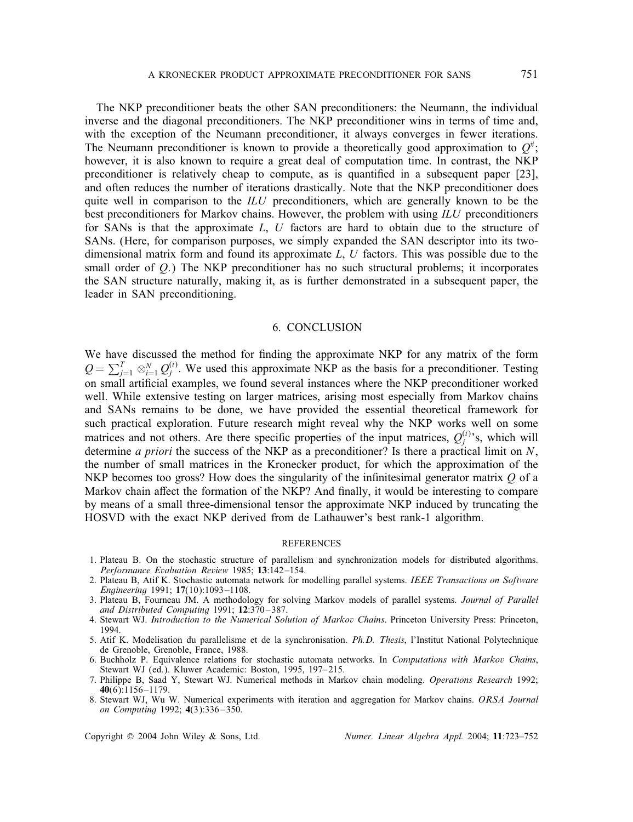The NKP preconditioner beats the other SAN preconditioners: the Neumann, the individual inverse and the diagonal preconditioners. The NKP preconditioner wins in terms of time and, with the exception of the Neumann preconditioner, it always converges in fewer iterations. The Neumann preconditioner is known to provide a theoretically good approximation to  $O^*$ ; however, it is also known to require a great deal of computation time. In contrast, the NKP preconditioner is relatively cheap to compute, as is quantified in a subsequent paper [23], and often reduces the number of iterations drastically. Note that the NKP preconditioner does quite well in comparison to the  $ILU$  preconditioners, which are generally known to be the best preconditioners for Markov chains. However, the problem with using ILU preconditioners for SANs is that the approximate  $L, U$  factors are hard to obtain due to the structure of SANs. (Here, for comparison purposes, we simply expanded the SAN descriptor into its twodimensional matrix form and found its approximate  $L, U$  factors. This was possible due to the small order of  $Q$ .) The NKP preconditioner has no such structural problems; it incorporates the SAN structure naturally, making it, as is further demonstrated in a subsequent paper, the leader in SAN preconditioning.

## 6. CONCLUSION

We have discussed the method for finding the approximate NKP for any matrix of the form  $Q = \sum_{j=1}^{T} \otimes_{i=1}^{N} Q_j^{(i)}$ . We used this approximate NKP as the basis for a preconditioner. Testing on small artificial examples, we found several instances where the NKP preconditioner worked well. While extensive testing on larger matrices, arising most especially from Markov chains and SANs remains to be done, we have provided the essential theoretical framework for such practical exploration. Future research might reveal why the NKP works well on some matrices and not others. Are there specific properties of the input matrices,  $Q_j^{(i)}$ 's, which will determine *a priori* the success of the NKP as a preconditioner? Is there a practical limit on N, the number of small matrices in the Kronecker product, for which the approximation of the NKP becomes too gross? How does the singularity of the infinitesimal generator matrix  $Q$  of a Markov chain affect the formation of the NKP? And finally, it would be interesting to compare by means of a small three-dimensional tensor the approximate NKP induced by truncating the HOSVD with the exact NKP derived from de Lathauwer's best rank-1 algorithm.

## REFERENCES

- 1. Plateau B. On the stochastic structure of parallelism and synchronization models for distributed algorithms. *Performance Evaluation Review* 1985; 13:142 –154.
- 2. Plateau B, Atif K. Stochastic automata network for modelling parallel systems. *IEEE Transactions on Software Engineering* 1991; **17**(10):1093-1108.
- 3. Plateau B, Fourneau JM. A methodology for solving Markov models of parallel systems. *Journal of Parallel and Distributed Computing* 1991; 12:370 – 387.
- 4. Stewart WJ. *Introduction to the Numerical Solution of Markov Chains*. Princeton University Press: Princeton, 1994.
- 5. Atif K. Modelisation du parallelisme et de la synchronisation. *Ph.D. Thesis*, l'Institut National Polytechnique de Grenoble, Grenoble, France, 1988.
- 6. Buchholz P. Equivalence relations for stochastic automata networks. In *Computations with Markov Chains*, Stewart WJ (ed.). Kluwer Academic: Boston, 1995, 197-215.
- 7. Philippe B, Saad Y, Stewart WJ. Numerical methods in Markov chain modeling. *Operations Research* 1992; 40(6):1156 –1179.
- 8. Stewart WJ, Wu W. Numerical experiments with iteration and aggregation for Markov chains. *ORSA Journal on Computing* 1992; 4(3):336 – 350.